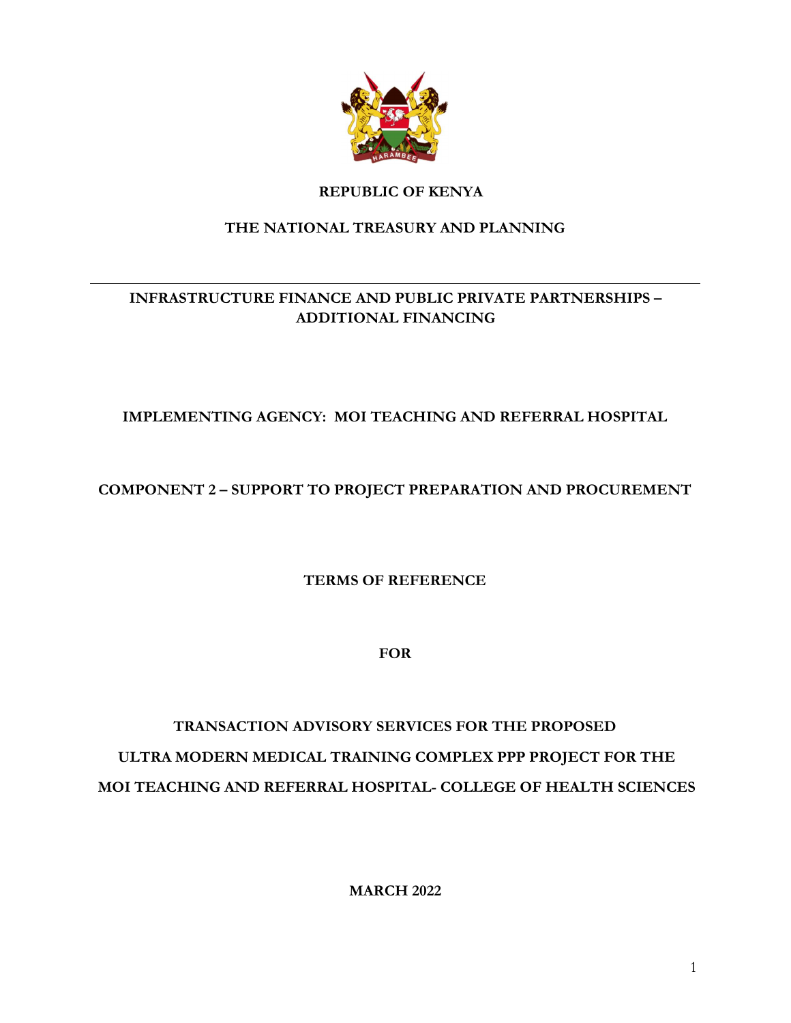

# REPUBLIC OF KENYA

# THE NATIONAL TREASURY AND PLANNING

# INFRASTRUCTURE FINANCE AND PUBLIC PRIVATE PARTNERSHIPS – ADDITIONAL FINANCING

# IMPLEMENTING AGENCY: MOI TEACHING AND REFERRAL HOSPITAL

# COMPONENT 2 – SUPPORT TO PROJECT PREPARATION AND PROCUREMENT

TERMS OF REFERENCE

FOR

# TRANSACTION ADVISORY SERVICES FOR THE PROPOSED ULTRA MODERN MEDICAL TRAINING COMPLEX PPP PROJECT FOR THE MOI TEACHING AND REFERRAL HOSPITAL- COLLEGE OF HEALTH SCIENCES

MARCH 2022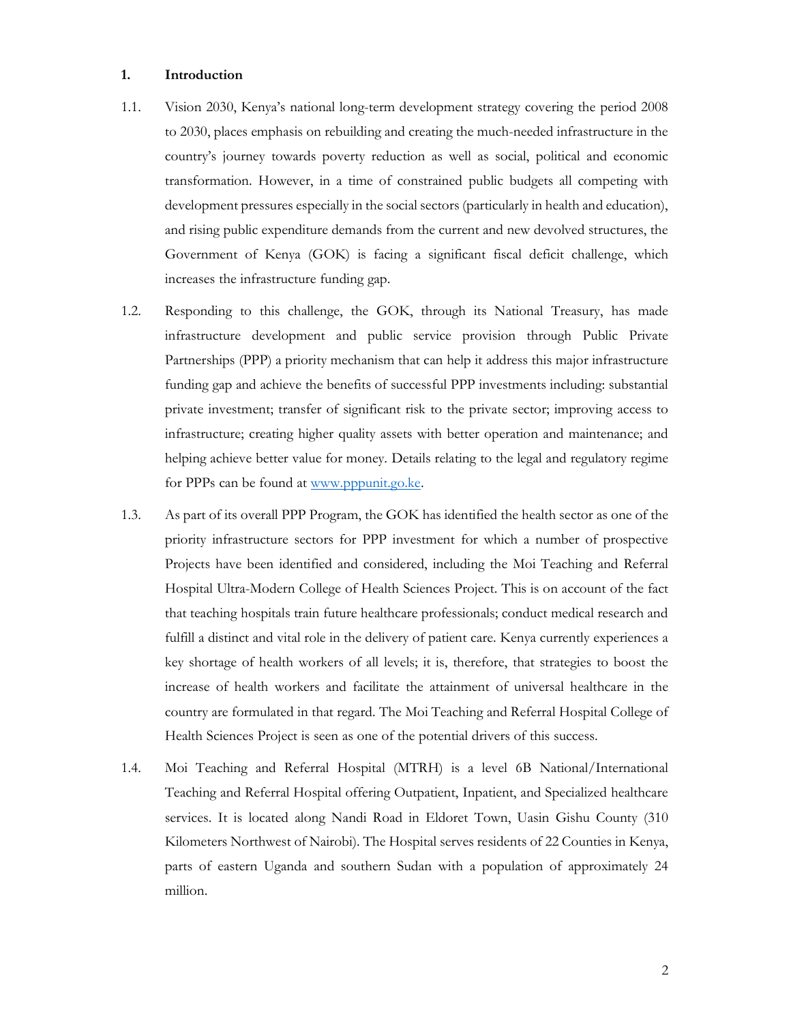#### 1. Introduction

- 1.1. Vision 2030, Kenya's national long-term development strategy covering the period 2008 to 2030, places emphasis on rebuilding and creating the much-needed infrastructure in the country's journey towards poverty reduction as well as social, political and economic transformation. However, in a time of constrained public budgets all competing with development pressures especially in the social sectors (particularly in health and education), and rising public expenditure demands from the current and new devolved structures, the Government of Kenya (GOK) is facing a significant fiscal deficit challenge, which increases the infrastructure funding gap.
- 1.2. Responding to this challenge, the GOK, through its National Treasury, has made infrastructure development and public service provision through Public Private Partnerships (PPP) a priority mechanism that can help it address this major infrastructure funding gap and achieve the benefits of successful PPP investments including: substantial private investment; transfer of significant risk to the private sector; improving access to infrastructure; creating higher quality assets with better operation and maintenance; and helping achieve better value for money. Details relating to the legal and regulatory regime for PPPs can be found at www.pppunit.go.ke.
- 1.3. As part of its overall PPP Program, the GOK has identified the health sector as one of the priority infrastructure sectors for PPP investment for which a number of prospective Projects have been identified and considered, including the Moi Teaching and Referral Hospital Ultra-Modern College of Health Sciences Project. This is on account of the fact that teaching hospitals train future healthcare professionals; conduct medical research and fulfill a distinct and vital role in the delivery of patient care. Kenya currently experiences a key shortage of health workers of all levels; it is, therefore, that strategies to boost the increase of health workers and facilitate the attainment of universal healthcare in the country are formulated in that regard. The Moi Teaching and Referral Hospital College of Health Sciences Project is seen as one of the potential drivers of this success.
- 1.4. Moi Teaching and Referral Hospital (MTRH) is a level 6B National/International Teaching and Referral Hospital offering Outpatient, Inpatient, and Specialized healthcare services. It is located along Nandi Road in Eldoret Town, Uasin Gishu County (310 Kilometers Northwest of Nairobi). The Hospital serves residents of 22 Counties in Kenya, parts of eastern Uganda and southern Sudan with a population of approximately 24 million.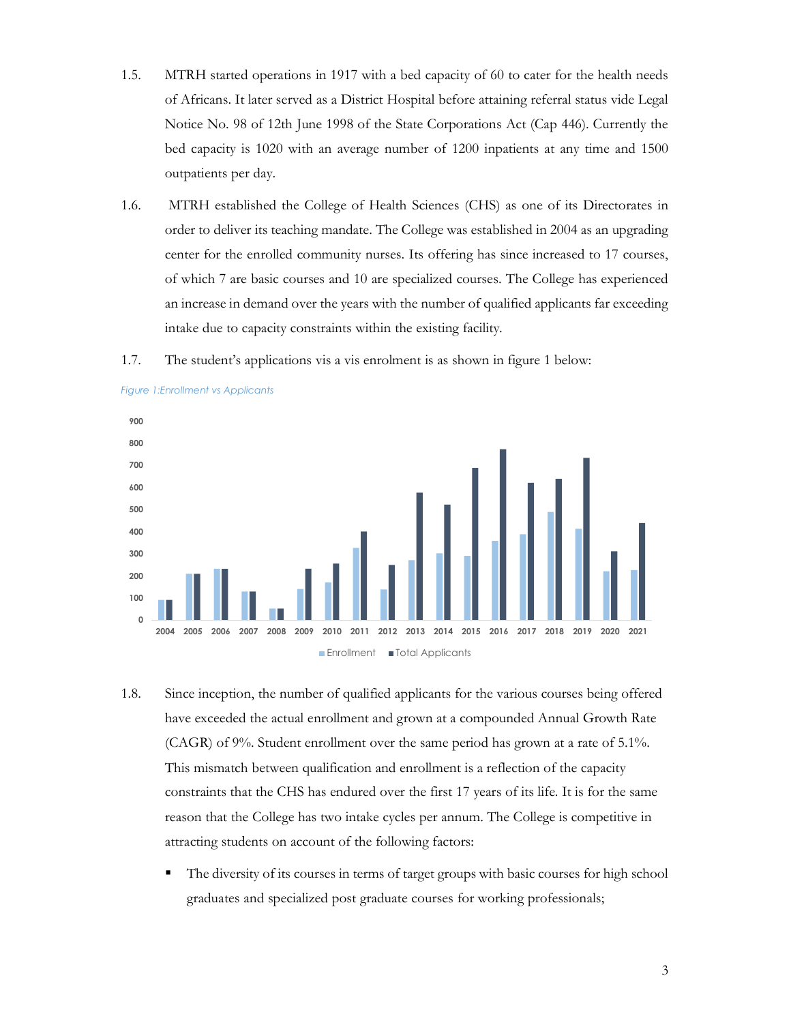- 1.5. MTRH started operations in 1917 with a bed capacity of 60 to cater for the health needs of Africans. It later served as a District Hospital before attaining referral status vide Legal Notice No. 98 of 12th June 1998 of the State Corporations Act (Cap 446). Currently the bed capacity is 1020 with an average number of 1200 inpatients at any time and 1500 outpatients per day.
- 1.6. MTRH established the College of Health Sciences (CHS) as one of its Directorates in order to deliver its teaching mandate. The College was established in 2004 as an upgrading center for the enrolled community nurses. Its offering has since increased to 17 courses, of which 7 are basic courses and 10 are specialized courses. The College has experienced an increase in demand over the years with the number of qualified applicants far exceeding intake due to capacity constraints within the existing facility.





Figure 1:Enrollment vs Applicants

- 1.8. Since inception, the number of qualified applicants for the various courses being offered have exceeded the actual enrollment and grown at a compounded Annual Growth Rate (CAGR) of 9%. Student enrollment over the same period has grown at a rate of 5.1%. This mismatch between qualification and enrollment is a reflection of the capacity constraints that the CHS has endured over the first 17 years of its life. It is for the same reason that the College has two intake cycles per annum. The College is competitive in attracting students on account of the following factors:
	- The diversity of its courses in terms of target groups with basic courses for high school graduates and specialized post graduate courses for working professionals;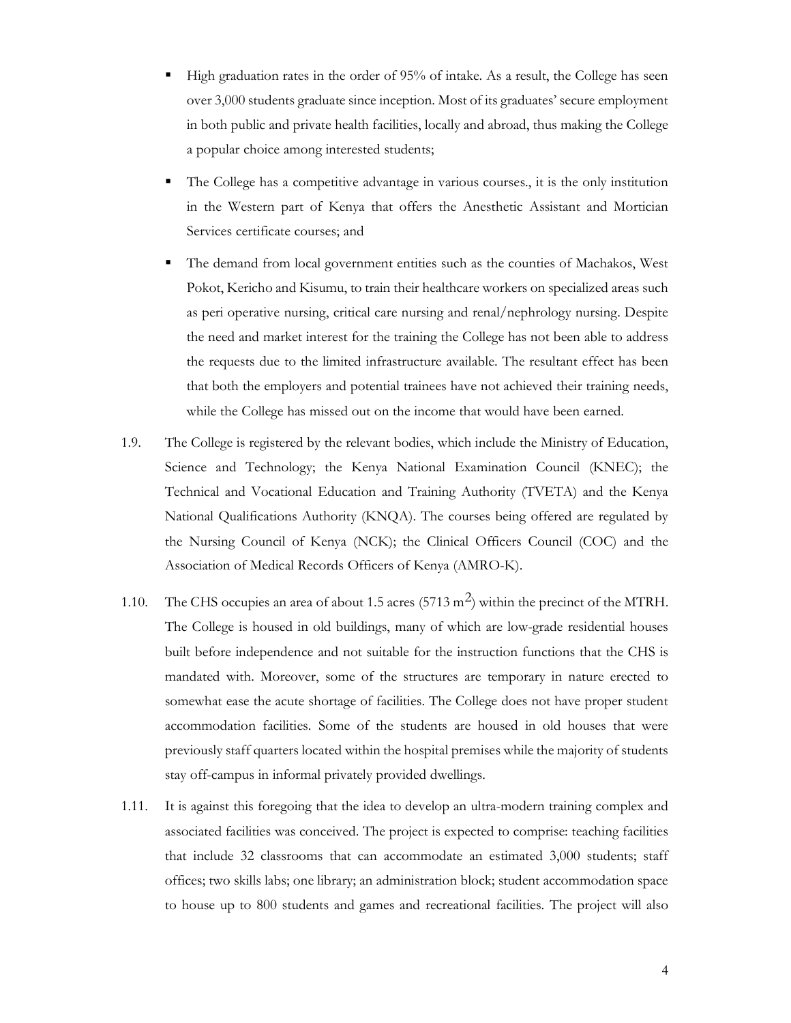- High graduation rates in the order of 95% of intake. As a result, the College has seen over 3,000 students graduate since inception. Most of its graduates' secure employment in both public and private health facilities, locally and abroad, thus making the College a popular choice among interested students;
- The College has a competitive advantage in various courses., it is the only institution in the Western part of Kenya that offers the Anesthetic Assistant and Mortician Services certificate courses; and
- The demand from local government entities such as the counties of Machakos, West Pokot, Kericho and Kisumu, to train their healthcare workers on specialized areas such as peri operative nursing, critical care nursing and renal/nephrology nursing. Despite the need and market interest for the training the College has not been able to address the requests due to the limited infrastructure available. The resultant effect has been that both the employers and potential trainees have not achieved their training needs, while the College has missed out on the income that would have been earned.
- 1.9. The College is registered by the relevant bodies, which include the Ministry of Education, Science and Technology; the Kenya National Examination Council (KNEC); the Technical and Vocational Education and Training Authority (TVETA) and the Kenya National Qualifications Authority (KNQA). The courses being offered are regulated by the Nursing Council of Kenya (NCK); the Clinical Officers Council (COC) and the Association of Medical Records Officers of Kenya (AMRO-K).
- 1.10. The CHS occupies an area of about 1.5 acres (5713 m<sup>2</sup>) within the precinct of the MTRH. The College is housed in old buildings, many of which are low-grade residential houses built before independence and not suitable for the instruction functions that the CHS is mandated with. Moreover, some of the structures are temporary in nature erected to somewhat ease the acute shortage of facilities. The College does not have proper student accommodation facilities. Some of the students are housed in old houses that were previously staff quarters located within the hospital premises while the majority of students stay off-campus in informal privately provided dwellings.
- 1.11. It is against this foregoing that the idea to develop an ultra-modern training complex and associated facilities was conceived. The project is expected to comprise: teaching facilities that include 32 classrooms that can accommodate an estimated 3,000 students; staff offices; two skills labs; one library; an administration block; student accommodation space to house up to 800 students and games and recreational facilities. The project will also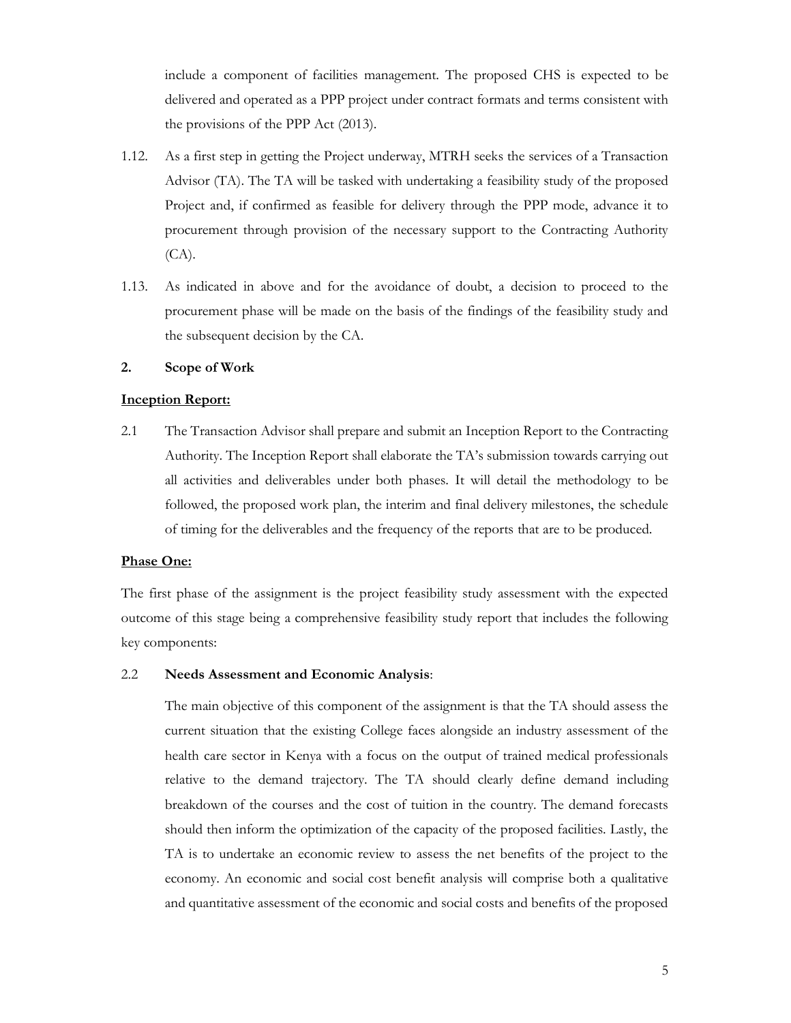include a component of facilities management. The proposed CHS is expected to be delivered and operated as a PPP project under contract formats and terms consistent with the provisions of the PPP Act (2013).

- 1.12. As a first step in getting the Project underway, MTRH seeks the services of a Transaction Advisor (TA). The TA will be tasked with undertaking a feasibility study of the proposed Project and, if confirmed as feasible for delivery through the PPP mode, advance it to procurement through provision of the necessary support to the Contracting Authority (CA).
- 1.13. As indicated in above and for the avoidance of doubt, a decision to proceed to the procurement phase will be made on the basis of the findings of the feasibility study and the subsequent decision by the CA.

#### 2. Scope of Work

#### Inception Report:

2.1 The Transaction Advisor shall prepare and submit an Inception Report to the Contracting Authority. The Inception Report shall elaborate the TA's submission towards carrying out all activities and deliverables under both phases. It will detail the methodology to be followed, the proposed work plan, the interim and final delivery milestones, the schedule of timing for the deliverables and the frequency of the reports that are to be produced.

#### Phase One:

The first phase of the assignment is the project feasibility study assessment with the expected outcome of this stage being a comprehensive feasibility study report that includes the following key components:

#### 2.2 Needs Assessment and Economic Analysis:

The main objective of this component of the assignment is that the TA should assess the current situation that the existing College faces alongside an industry assessment of the health care sector in Kenya with a focus on the output of trained medical professionals relative to the demand trajectory. The TA should clearly define demand including breakdown of the courses and the cost of tuition in the country. The demand forecasts should then inform the optimization of the capacity of the proposed facilities. Lastly, the TA is to undertake an economic review to assess the net benefits of the project to the economy. An economic and social cost benefit analysis will comprise both a qualitative and quantitative assessment of the economic and social costs and benefits of the proposed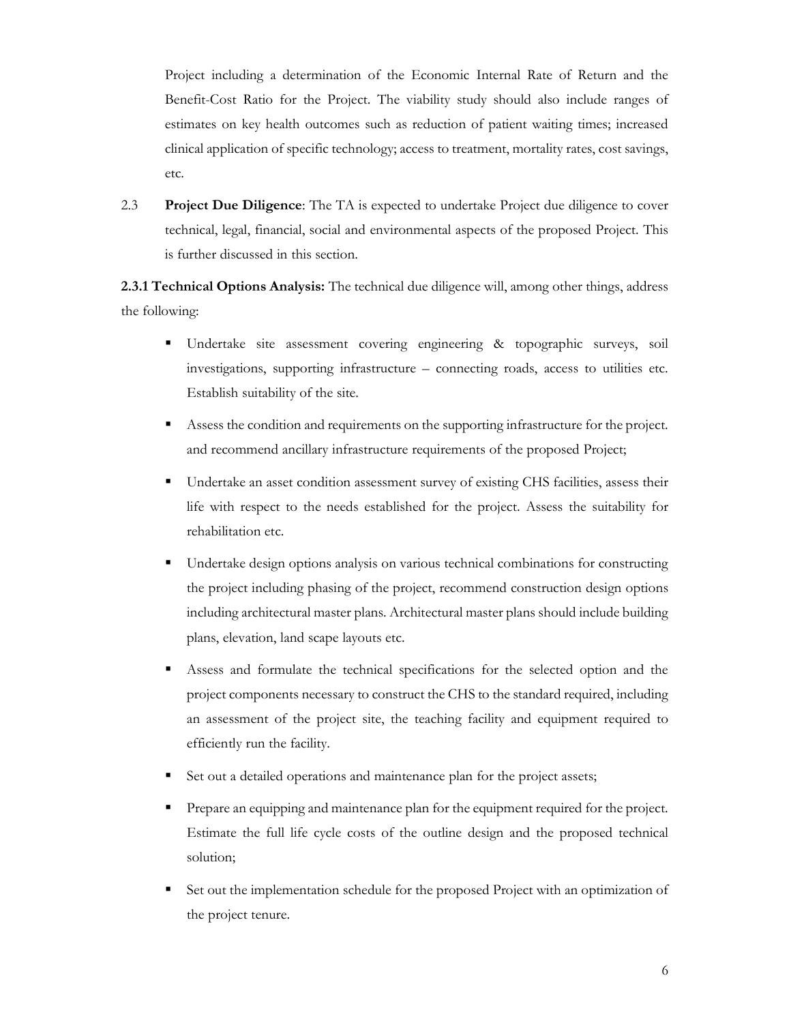Project including a determination of the Economic Internal Rate of Return and the Benefit-Cost Ratio for the Project. The viability study should also include ranges of estimates on key health outcomes such as reduction of patient waiting times; increased clinical application of specific technology; access to treatment, mortality rates, cost savings, etc.

2.3 Project Due Diligence: The TA is expected to undertake Project due diligence to cover technical, legal, financial, social and environmental aspects of the proposed Project. This is further discussed in this section.

2.3.1 Technical Options Analysis: The technical due diligence will, among other things, address the following:

- Undertake site assessment covering engineering & topographic surveys, soil investigations, supporting infrastructure – connecting roads, access to utilities etc. Establish suitability of the site.
- Assess the condition and requirements on the supporting infrastructure for the project. and recommend ancillary infrastructure requirements of the proposed Project;
- Undertake an asset condition assessment survey of existing CHS facilities, assess their life with respect to the needs established for the project. Assess the suitability for rehabilitation etc.
- Undertake design options analysis on various technical combinations for constructing the project including phasing of the project, recommend construction design options including architectural master plans. Architectural master plans should include building plans, elevation, land scape layouts etc.
- Assess and formulate the technical specifications for the selected option and the project components necessary to construct the CHS to the standard required, including an assessment of the project site, the teaching facility and equipment required to efficiently run the facility.
- Set out a detailed operations and maintenance plan for the project assets;
- **Prepare an equipping and maintenance plan for the equipment required for the project.** Estimate the full life cycle costs of the outline design and the proposed technical solution;
- Set out the implementation schedule for the proposed Project with an optimization of the project tenure.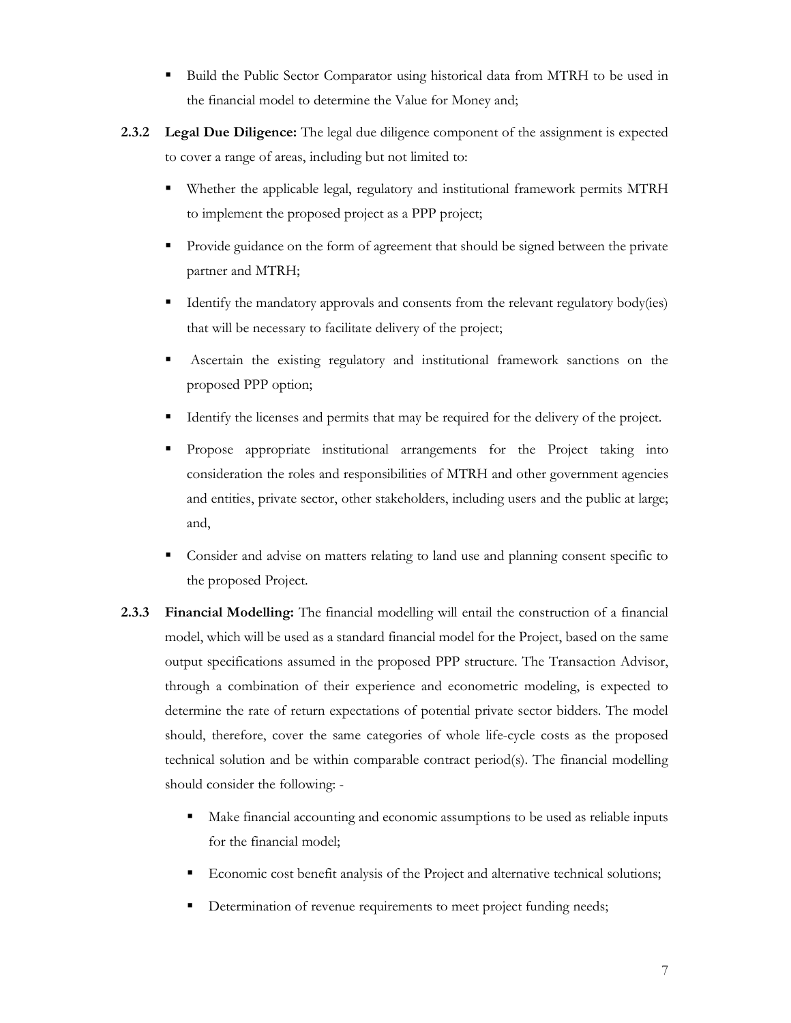- Build the Public Sector Comparator using historical data from MTRH to be used in the financial model to determine the Value for Money and;
- **2.3.2** Legal Due Diligence: The legal due diligence component of the assignment is expected to cover a range of areas, including but not limited to:
	- Whether the applicable legal, regulatory and institutional framework permits MTRH to implement the proposed project as a PPP project;
	- Provide guidance on the form of agreement that should be signed between the private partner and MTRH;
	- Identify the mandatory approvals and consents from the relevant regulatory body(ies) that will be necessary to facilitate delivery of the project;
	- Ascertain the existing regulatory and institutional framework sanctions on the proposed PPP option;
	- Identify the licenses and permits that may be required for the delivery of the project.
	- Propose appropriate institutional arrangements for the Project taking into consideration the roles and responsibilities of MTRH and other government agencies and entities, private sector, other stakeholders, including users and the public at large; and,
	- Consider and advise on matters relating to land use and planning consent specific to the proposed Project.
- 2.3.3 Financial Modelling: The financial modelling will entail the construction of a financial model, which will be used as a standard financial model for the Project, based on the same output specifications assumed in the proposed PPP structure. The Transaction Advisor, through a combination of their experience and econometric modeling, is expected to determine the rate of return expectations of potential private sector bidders. The model should, therefore, cover the same categories of whole life-cycle costs as the proposed technical solution and be within comparable contract period(s). The financial modelling should consider the following: -
	- Make financial accounting and economic assumptions to be used as reliable inputs for the financial model;
	- Economic cost benefit analysis of the Project and alternative technical solutions;
	- Determination of revenue requirements to meet project funding needs;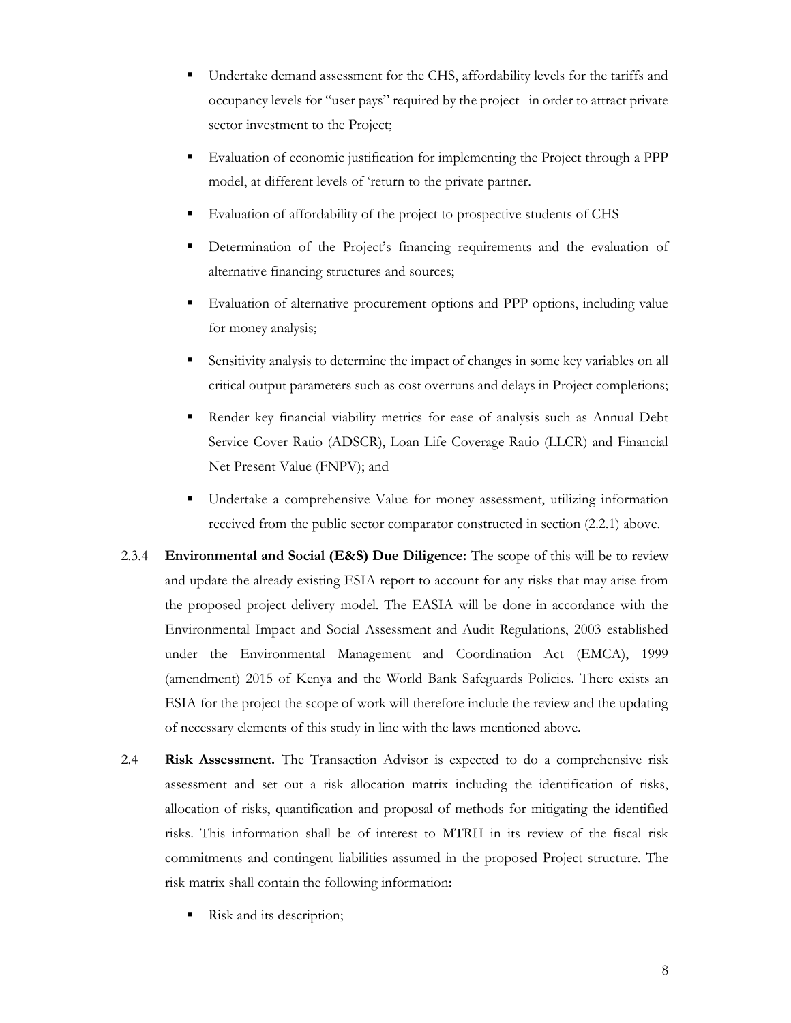- Undertake demand assessment for the CHS, affordability levels for the tariffs and occupancy levels for "user pays" required by the project in order to attract private sector investment to the Project;
- Evaluation of economic justification for implementing the Project through a PPP model, at different levels of 'return to the private partner.
- Evaluation of affordability of the project to prospective students of CHS
- Determination of the Project's financing requirements and the evaluation of alternative financing structures and sources;
- Evaluation of alternative procurement options and PPP options, including value for money analysis;
- Sensitivity analysis to determine the impact of changes in some key variables on all critical output parameters such as cost overruns and delays in Project completions;
- Render key financial viability metrics for ease of analysis such as Annual Debt Service Cover Ratio (ADSCR), Loan Life Coverage Ratio (LLCR) and Financial Net Present Value (FNPV); and
- Undertake a comprehensive Value for money assessment, utilizing information received from the public sector comparator constructed in section (2.2.1) above.
- 2.3.4 Environmental and Social  $(ExS)$  Due Diligence: The scope of this will be to review and update the already existing ESIA report to account for any risks that may arise from the proposed project delivery model. The EASIA will be done in accordance with the Environmental Impact and Social Assessment and Audit Regulations, 2003 established under the Environmental Management and Coordination Act (EMCA), 1999 (amendment) 2015 of Kenya and the World Bank Safeguards Policies. There exists an ESIA for the project the scope of work will therefore include the review and the updating of necessary elements of this study in line with the laws mentioned above.
- 2.4 Risk Assessment. The Transaction Advisor is expected to do a comprehensive risk assessment and set out a risk allocation matrix including the identification of risks, allocation of risks, quantification and proposal of methods for mitigating the identified risks. This information shall be of interest to MTRH in its review of the fiscal risk commitments and contingent liabilities assumed in the proposed Project structure. The risk matrix shall contain the following information:
	- Risk and its description;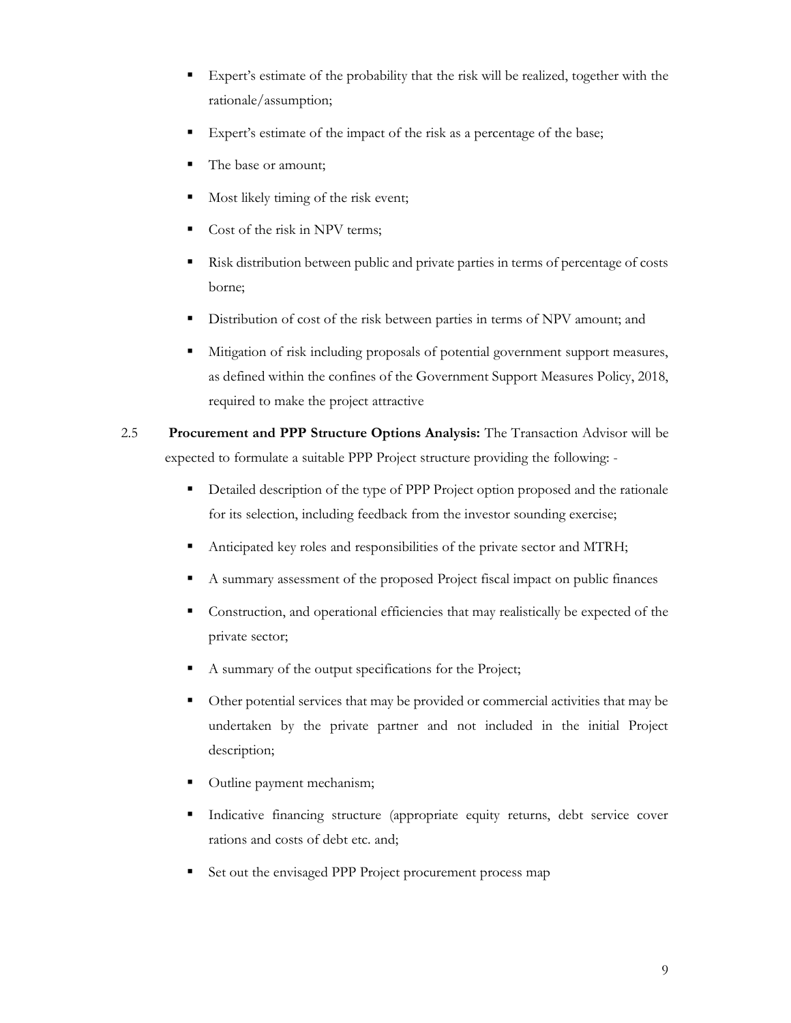- Expert's estimate of the probability that the risk will be realized, together with the rationale/assumption;
- Expert's estimate of the impact of the risk as a percentage of the base;
- The base or amount;
- Most likely timing of the risk event;
- Cost of the risk in NPV terms;
- Risk distribution between public and private parties in terms of percentage of costs borne;
- Distribution of cost of the risk between parties in terms of NPV amount; and
- Mitigation of risk including proposals of potential government support measures, as defined within the confines of the Government Support Measures Policy, 2018, required to make the project attractive
- 2.5 Procurement and PPP Structure Options Analysis: The Transaction Advisor will be expected to formulate a suitable PPP Project structure providing the following: -
	- Detailed description of the type of PPP Project option proposed and the rationale for its selection, including feedback from the investor sounding exercise;
	- Anticipated key roles and responsibilities of the private sector and MTRH;
	- A summary assessment of the proposed Project fiscal impact on public finances
	- Construction, and operational efficiencies that may realistically be expected of the private sector;
	- A summary of the output specifications for the Project;
	- Other potential services that may be provided or commercial activities that may be undertaken by the private partner and not included in the initial Project description;
	- Outline payment mechanism;
	- Indicative financing structure (appropriate equity returns, debt service cover rations and costs of debt etc. and;
	- Set out the envisaged PPP Project procurement process map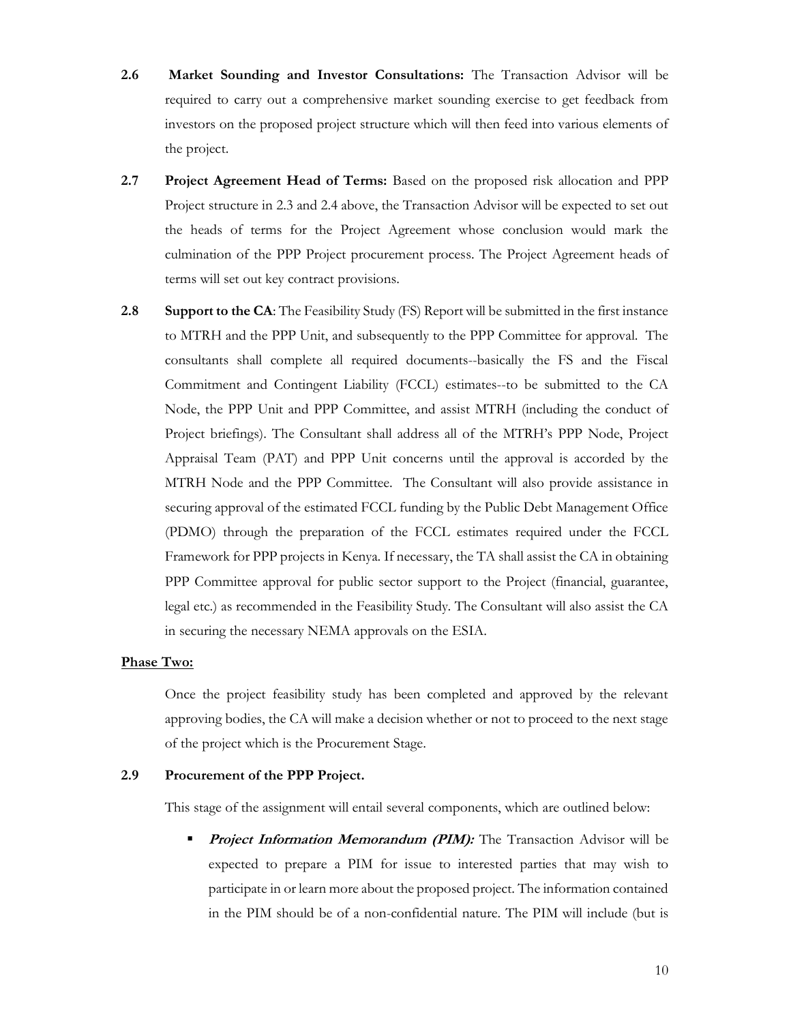- 2.6 Market Sounding and Investor Consultations: The Transaction Advisor will be required to carry out a comprehensive market sounding exercise to get feedback from investors on the proposed project structure which will then feed into various elements of the project.
- 2.7 Project Agreement Head of Terms: Based on the proposed risk allocation and PPP Project structure in 2.3 and 2.4 above, the Transaction Advisor will be expected to set out the heads of terms for the Project Agreement whose conclusion would mark the culmination of the PPP Project procurement process. The Project Agreement heads of terms will set out key contract provisions.
- 2.8 Support to the CA: The Feasibility Study (FS) Report will be submitted in the first instance to MTRH and the PPP Unit, and subsequently to the PPP Committee for approval. The consultants shall complete all required documents--basically the FS and the Fiscal Commitment and Contingent Liability (FCCL) estimates--to be submitted to the CA Node, the PPP Unit and PPP Committee, and assist MTRH (including the conduct of Project briefings). The Consultant shall address all of the MTRH's PPP Node, Project Appraisal Team (PAT) and PPP Unit concerns until the approval is accorded by the MTRH Node and the PPP Committee. The Consultant will also provide assistance in securing approval of the estimated FCCL funding by the Public Debt Management Office (PDMO) through the preparation of the FCCL estimates required under the FCCL Framework for PPP projects in Kenya. If necessary, the TA shall assist the CA in obtaining PPP Committee approval for public sector support to the Project (financial, guarantee, legal etc.) as recommended in the Feasibility Study. The Consultant will also assist the CA in securing the necessary NEMA approvals on the ESIA.

#### Phase Two:

Once the project feasibility study has been completed and approved by the relevant approving bodies, the CA will make a decision whether or not to proceed to the next stage of the project which is the Procurement Stage.

## 2.9 Procurement of the PPP Project.

This stage of the assignment will entail several components, which are outlined below:

Project Information Memorandum (PIM): The Transaction Advisor will be expected to prepare a PIM for issue to interested parties that may wish to participate in or learn more about the proposed project. The information contained in the PIM should be of a non-confidential nature. The PIM will include (but is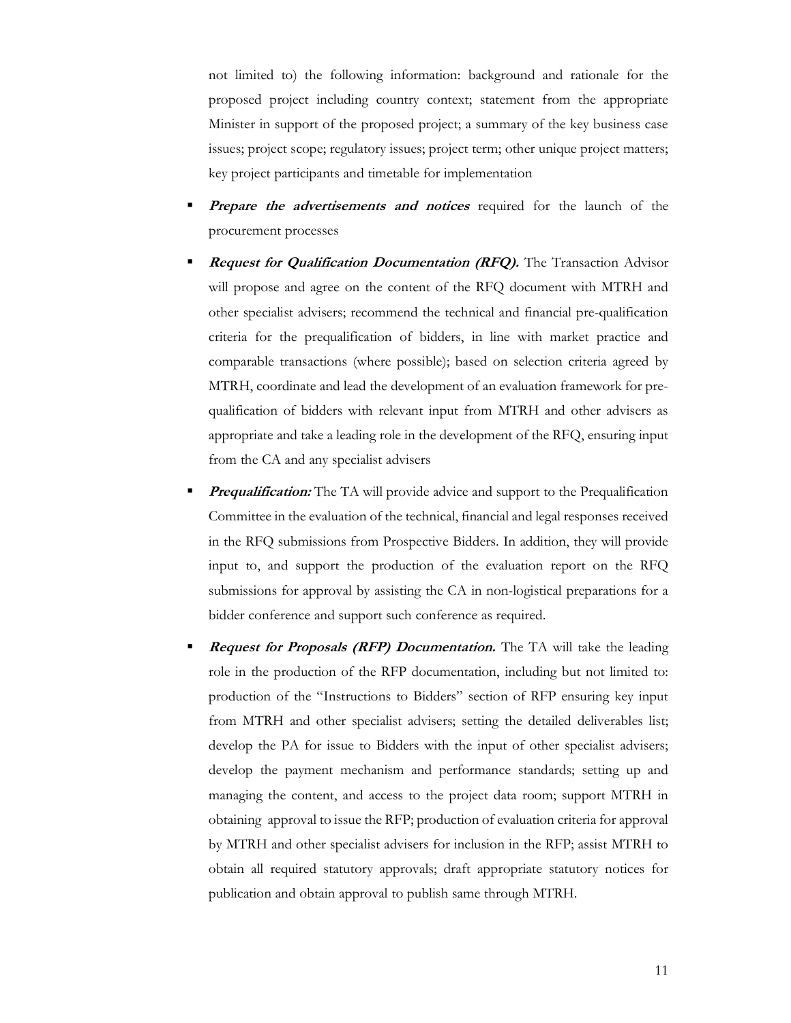not limited to) the following information: background and rationale for the proposed project including country context; statement from the appropriate Minister in support of the proposed project; a summary of the key business case issues; project scope; regulatory issues; project term; other unique project matters; key project participants and timetable for implementation

- **Prepare the advertisements and notices** required for the launch of the procurement processes
- **Request for Qualification Documentation (RFQ).** The Transaction Advisor will propose and agree on the content of the RFQ document with MTRH and other specialist advisers; recommend the technical and financial pre-qualification criteria for the prequalification of bidders, in line with market practice and comparable transactions (where possible); based on selection criteria agreed by MTRH, coordinate and lead the development of an evaluation framework for prequalification of bidders with relevant input from MTRH and other advisers as appropriate and take a leading role in the development of the RFQ, ensuring input from the CA and any specialist advisers
- **Prequalification:** The TA will provide advice and support to the Prequalification Committee in the evaluation of the technical, financial and legal responses received in the RFQ submissions from Prospective Bidders. In addition, they will provide input to, and support the production of the evaluation report on the RFQ submissions for approval by assisting the CA in non-logistical preparations for a bidder conference and support such conference as required.
- **Request for Proposals (RFP) Documentation.** The TA will take the leading role in the production of the RFP documentation, including but not limited to: production of the "Instructions to Bidders" section of RFP ensuring key input from MTRH and other specialist advisers; setting the detailed deliverables list; develop the PA for issue to Bidders with the input of other specialist advisers; develop the payment mechanism and performance standards; setting up and managing the content, and access to the project data room; support MTRH in obtaining approval to issue the RFP; production of evaluation criteria for approval by MTRH and other specialist advisers for inclusion in the RFP; assist MTRH to obtain all required statutory approvals; draft appropriate statutory notices for publication and obtain approval to publish same through MTRH.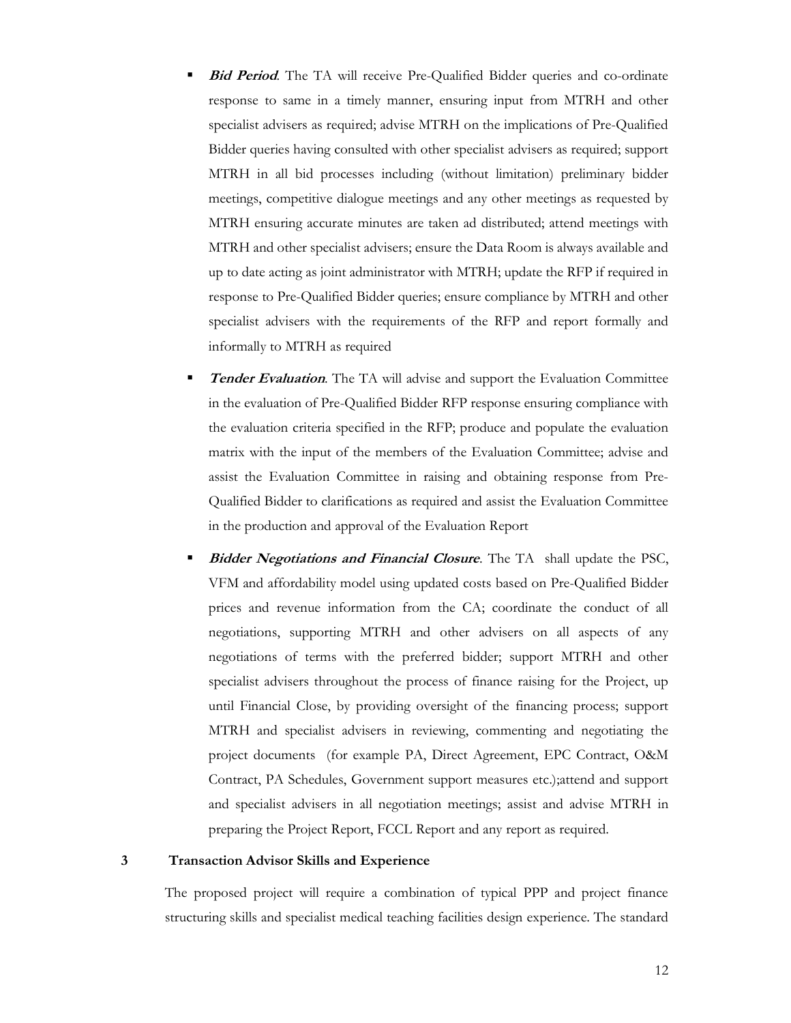- **Bid Period.** The TA will receive Pre-Qualified Bidder queries and co-ordinate response to same in a timely manner, ensuring input from MTRH and other specialist advisers as required; advise MTRH on the implications of Pre-Qualified Bidder queries having consulted with other specialist advisers as required; support MTRH in all bid processes including (without limitation) preliminary bidder meetings, competitive dialogue meetings and any other meetings as requested by MTRH ensuring accurate minutes are taken ad distributed; attend meetings with MTRH and other specialist advisers; ensure the Data Room is always available and up to date acting as joint administrator with MTRH; update the RFP if required in response to Pre-Qualified Bidder queries; ensure compliance by MTRH and other specialist advisers with the requirements of the RFP and report formally and informally to MTRH as required
- **Tender Evaluation**. The TA will advise and support the Evaluation Committee in the evaluation of Pre-Qualified Bidder RFP response ensuring compliance with the evaluation criteria specified in the RFP; produce and populate the evaluation matrix with the input of the members of the Evaluation Committee; advise and assist the Evaluation Committee in raising and obtaining response from Pre-Qualified Bidder to clarifications as required and assist the Evaluation Committee in the production and approval of the Evaluation Report
- **Bidder Negotiations and Financial Closure.** The TA shall update the PSC, VFM and affordability model using updated costs based on Pre-Qualified Bidder prices and revenue information from the CA; coordinate the conduct of all negotiations, supporting MTRH and other advisers on all aspects of any negotiations of terms with the preferred bidder; support MTRH and other specialist advisers throughout the process of finance raising for the Project, up until Financial Close, by providing oversight of the financing process; support MTRH and specialist advisers in reviewing, commenting and negotiating the project documents (for example PA, Direct Agreement, EPC Contract, O&M Contract, PA Schedules, Government support measures etc.);attend and support and specialist advisers in all negotiation meetings; assist and advise MTRH in preparing the Project Report, FCCL Report and any report as required.

## 3 Transaction Advisor Skills and Experience

The proposed project will require a combination of typical PPP and project finance structuring skills and specialist medical teaching facilities design experience. The standard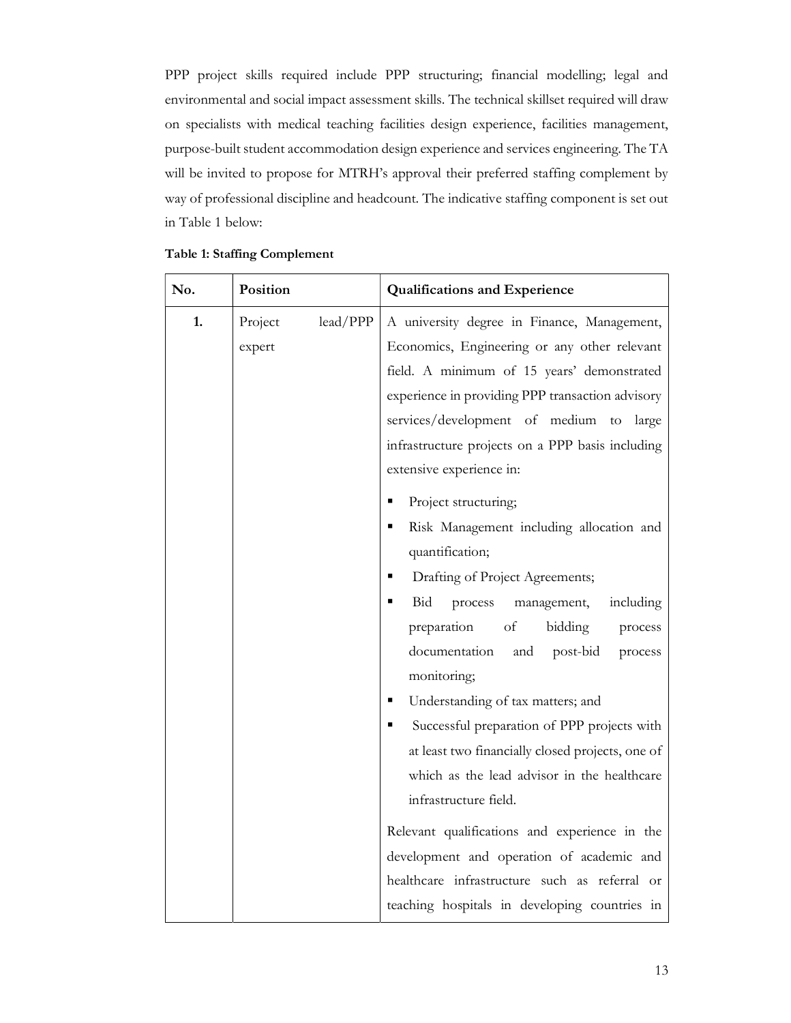PPP project skills required include PPP structuring; financial modelling; legal and environmental and social impact assessment skills. The technical skillset required will draw on specialists with medical teaching facilities design experience, facilities management, purpose-built student accommodation design experience and services engineering. The TA will be invited to propose for MTRH's approval their preferred staffing complement by way of professional discipline and headcount. The indicative staffing component is set out in Table 1 below:

| No. | Position                      | <b>Qualifications and Experience</b>                                                                                                                                                                                                                                                                                                                                                                              |  |
|-----|-------------------------------|-------------------------------------------------------------------------------------------------------------------------------------------------------------------------------------------------------------------------------------------------------------------------------------------------------------------------------------------------------------------------------------------------------------------|--|
| 1.  | lead/PPP<br>Project<br>expert | A university degree in Finance, Management,<br>Economics, Engineering or any other relevant<br>field. A minimum of 15 years' demonstrated<br>experience in providing PPP transaction advisory<br>services/development of medium to<br>large<br>infrastructure projects on a PPP basis including<br>extensive experience in:                                                                                       |  |
|     |                               | Project structuring;<br>٠<br>Risk Management including allocation and<br>quantification;<br>Drafting of Project Agreements;<br>Bid<br>including<br>process<br>management,<br>preparation<br>of<br>bidding<br>process<br>documentation<br>post-bid<br>and<br>process<br>monitoring;                                                                                                                                |  |
|     |                               | Understanding of tax matters; and<br>٠<br>Successful preparation of PPP projects with<br>at least two financially closed projects, one of<br>which as the lead advisor in the healthcare<br>infrastructure field.<br>Relevant qualifications and experience in the<br>development and operation of academic and<br>healthcare infrastructure such as referral or<br>teaching hospitals in developing countries in |  |

|  |  |  | Table 1: Staffing Complement |  |
|--|--|--|------------------------------|--|
|--|--|--|------------------------------|--|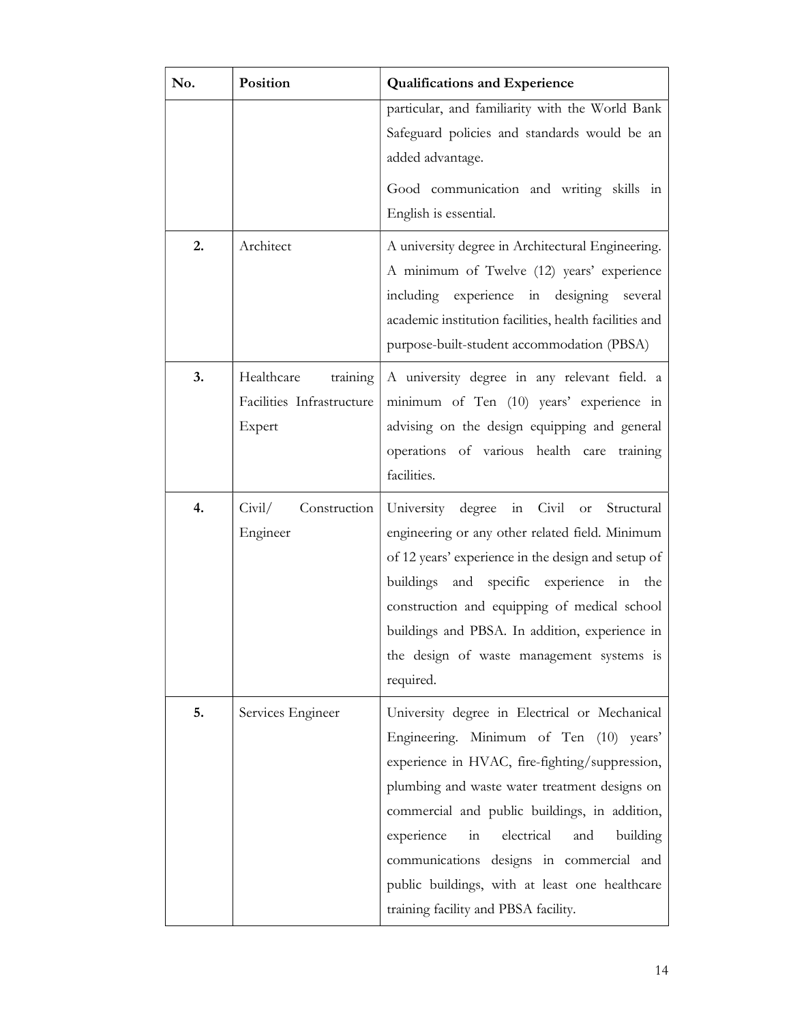| No. | <b>Position</b>                                               | <b>Qualifications and Experience</b>                                                                                                                                                                                                                                                                                                                                                                                                                        |
|-----|---------------------------------------------------------------|-------------------------------------------------------------------------------------------------------------------------------------------------------------------------------------------------------------------------------------------------------------------------------------------------------------------------------------------------------------------------------------------------------------------------------------------------------------|
|     |                                                               | particular, and familiarity with the World Bank<br>Safeguard policies and standards would be an<br>added advantage.<br>Good communication and writing skills in<br>English is essential.                                                                                                                                                                                                                                                                    |
| 2.  | Architect                                                     | A university degree in Architectural Engineering.<br>A minimum of Twelve (12) years' experience<br>including experience in designing several<br>academic institution facilities, health facilities and<br>purpose-built-student accommodation (PBSA)                                                                                                                                                                                                        |
| 3.  | Healthcare<br>training<br>Facilities Infrastructure<br>Expert | A university degree in any relevant field. a<br>minimum of Ten (10) years' experience in<br>advising on the design equipping and general<br>operations of various health care training<br>facilities.                                                                                                                                                                                                                                                       |
| 4.  | Civil/<br>Construction<br>Engineer                            | University degree<br>Civil<br>in<br>Structural<br><sub>or</sub><br>engineering or any other related field. Minimum<br>of 12 years' experience in the design and setup of<br>buildings and specific experience in the<br>construction and equipping of medical school<br>buildings and PBSA. In addition, experience in<br>the design of waste management systems is<br>required.                                                                            |
| 5.  | Services Engineer                                             | University degree in Electrical or Mechanical<br>Engineering. Minimum of Ten (10) years'<br>experience in HVAC, fire-fighting/suppression,<br>plumbing and waste water treatment designs on<br>commercial and public buildings, in addition,<br>experience<br>electrical<br>$\overline{\text{in}}$<br>and<br>building<br>communications designs in commercial and<br>public buildings, with at least one healthcare<br>training facility and PBSA facility. |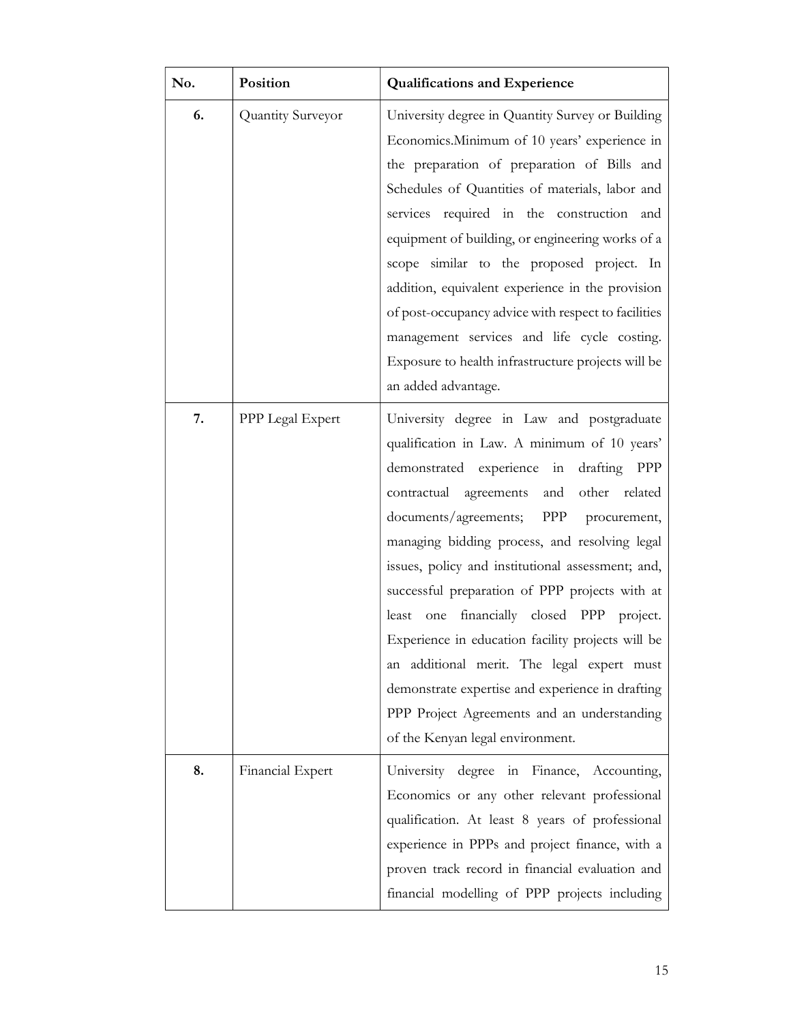| No. | Position          | <b>Qualifications and Experience</b>                                                                                                                                                                                                                                                                                                                                                                                                                                                                                                                                                                                                                                                                 |
|-----|-------------------|------------------------------------------------------------------------------------------------------------------------------------------------------------------------------------------------------------------------------------------------------------------------------------------------------------------------------------------------------------------------------------------------------------------------------------------------------------------------------------------------------------------------------------------------------------------------------------------------------------------------------------------------------------------------------------------------------|
| 6.  | Quantity Surveyor | University degree in Quantity Survey or Building<br>Economics. Minimum of 10 years' experience in<br>the preparation of preparation of Bills and<br>Schedules of Quantities of materials, labor and<br>services required in the construction and<br>equipment of building, or engineering works of a<br>scope similar to the proposed project. In<br>addition, equivalent experience in the provision<br>of post-occupancy advice with respect to facilities<br>management services and life cycle costing.<br>Exposure to health infrastructure projects will be<br>an added advantage.                                                                                                             |
| 7.  | PPP Legal Expert  | University degree in Law and postgraduate<br>qualification in Law. A minimum of 10 years'<br>drafting<br>demonstrated experience in<br>PPP<br>other<br>contractual<br>agreements<br>and<br>related<br>documents/agreements;<br>PPP procurement,<br>managing bidding process, and resolving legal<br>issues, policy and institutional assessment; and,<br>successful preparation of PPP projects with at<br>financially closed PPP project.<br>least<br>one<br>Experience in education facility projects will be<br>an additional merit. The legal expert must<br>demonstrate expertise and experience in drafting<br>PPP Project Agreements and an understanding<br>of the Kenyan legal environment. |
| 8.  | Financial Expert  | University degree in Finance, Accounting,<br>Economics or any other relevant professional<br>qualification. At least 8 years of professional<br>experience in PPPs and project finance, with a<br>proven track record in financial evaluation and<br>financial modelling of PPP projects including                                                                                                                                                                                                                                                                                                                                                                                                   |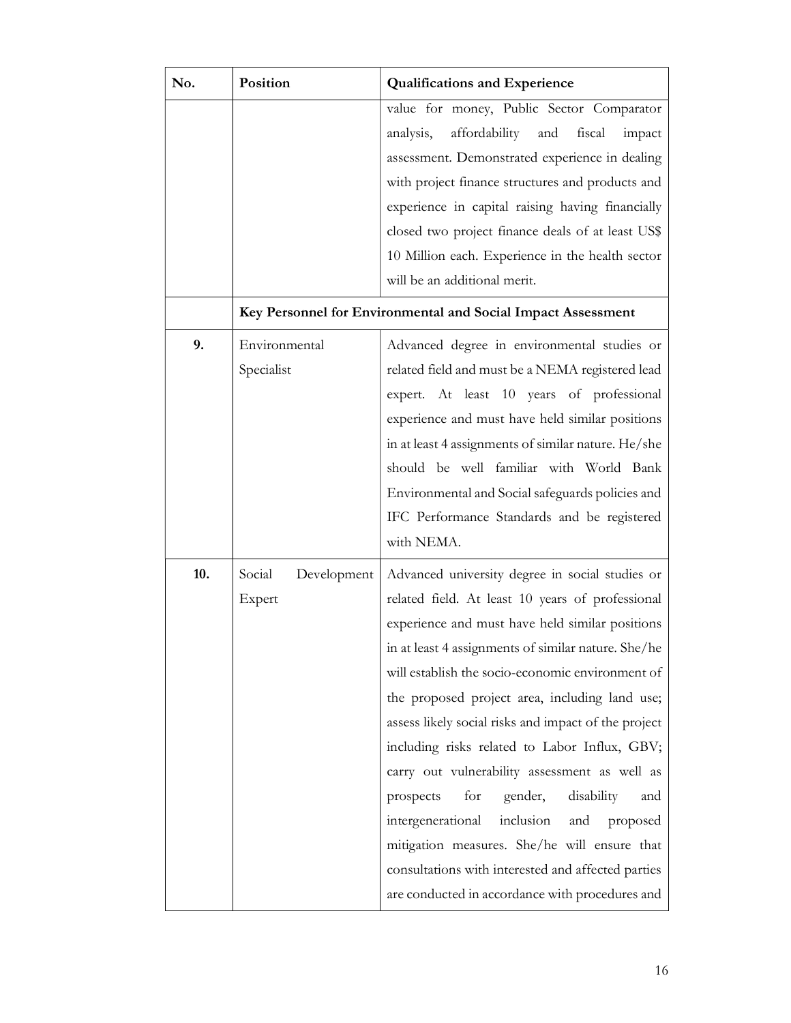| No. | Position              | <b>Qualifications and Experience</b>                         |  |  |
|-----|-----------------------|--------------------------------------------------------------|--|--|
|     |                       | value for money, Public Sector Comparator                    |  |  |
|     |                       | affordability<br>and<br>analysis,<br>fiscal<br>impact        |  |  |
|     |                       | assessment. Demonstrated experience in dealing               |  |  |
|     |                       | with project finance structures and products and             |  |  |
|     |                       | experience in capital raising having financially             |  |  |
|     |                       | closed two project finance deals of at least US\$            |  |  |
|     |                       | 10 Million each. Experience in the health sector             |  |  |
|     |                       | will be an additional merit.                                 |  |  |
|     |                       | Key Personnel for Environmental and Social Impact Assessment |  |  |
| 9.  | Environmental         | Advanced degree in environmental studies or                  |  |  |
|     | Specialist            | related field and must be a NEMA registered lead             |  |  |
|     |                       | expert. At least 10 years of professional                    |  |  |
|     |                       | experience and must have held similar positions              |  |  |
|     |                       | in at least 4 assignments of similar nature. He/she          |  |  |
|     |                       | should be well familiar with World Bank                      |  |  |
|     |                       | Environmental and Social safeguards policies and             |  |  |
|     |                       | IFC Performance Standards and be registered                  |  |  |
|     |                       | with NEMA.                                                   |  |  |
| 10. | Social<br>Development | Advanced university degree in social studies or              |  |  |
|     | Expert                | related field. At least 10 years of professional             |  |  |
|     |                       | experience and must have held similar positions              |  |  |
|     |                       | in at least 4 assignments of similar nature. She/he          |  |  |
|     |                       | will establish the socio-economic environment of             |  |  |
|     |                       | the proposed project area, including land use;               |  |  |
|     |                       | assess likely social risks and impact of the project         |  |  |
|     |                       | including risks related to Labor Influx, GBV;                |  |  |
|     |                       | carry out vulnerability assessment as well as                |  |  |
|     |                       | for<br>disability<br>prospects<br>gender,<br>and             |  |  |
|     |                       | intergenerational<br>inclusion<br>and<br>proposed            |  |  |
|     |                       | mitigation measures. She/he will ensure that                 |  |  |
|     |                       | consultations with interested and affected parties           |  |  |
|     |                       | are conducted in accordance with procedures and              |  |  |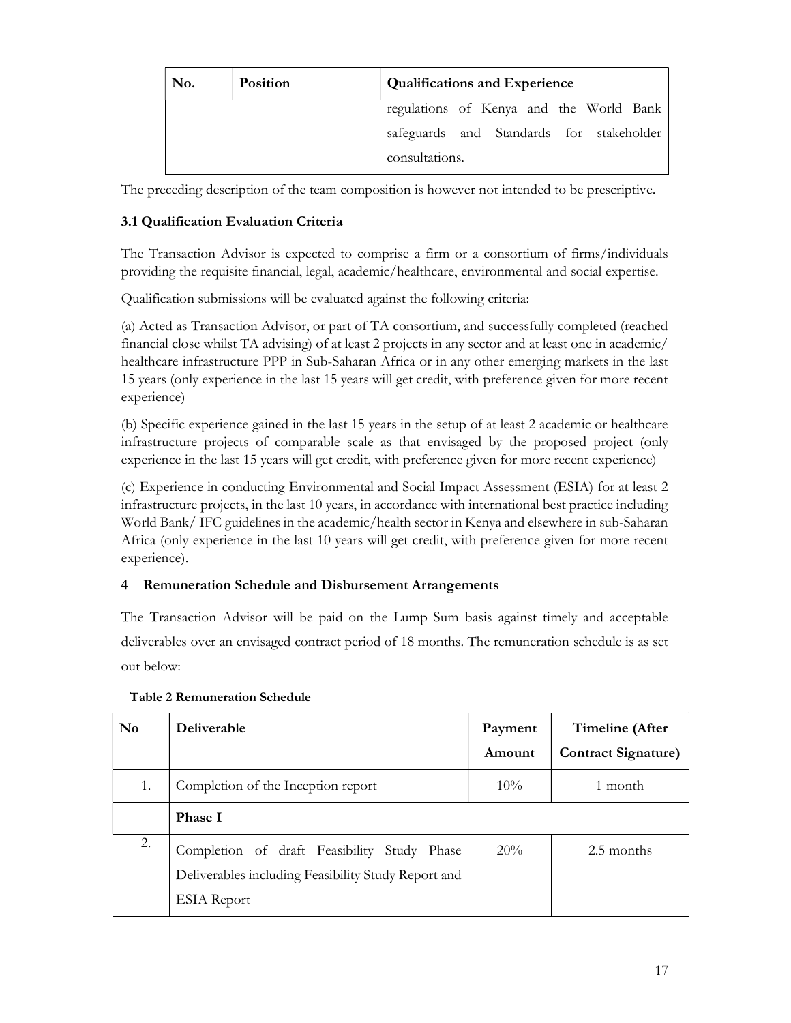| No. | <b>Position</b> | <b>Qualifications and Experience</b>     |  |  |
|-----|-----------------|------------------------------------------|--|--|
|     |                 | regulations of Kenya and the World Bank  |  |  |
|     |                 | safeguards and Standards for stakeholder |  |  |
|     |                 | consultations.                           |  |  |

The preceding description of the team composition is however not intended to be prescriptive.

# 3.1 Qualification Evaluation Criteria

The Transaction Advisor is expected to comprise a firm or a consortium of firms/individuals providing the requisite financial, legal, academic/healthcare, environmental and social expertise.

Qualification submissions will be evaluated against the following criteria:

(a) Acted as Transaction Advisor, or part of TA consortium, and successfully completed (reached financial close whilst TA advising) of at least 2 projects in any sector and at least one in academic/ healthcare infrastructure PPP in Sub-Saharan Africa or in any other emerging markets in the last 15 years (only experience in the last 15 years will get credit, with preference given for more recent experience)

(b) Specific experience gained in the last 15 years in the setup of at least 2 academic or healthcare infrastructure projects of comparable scale as that envisaged by the proposed project (only experience in the last 15 years will get credit, with preference given for more recent experience)

(c) Experience in conducting Environmental and Social Impact Assessment (ESIA) for at least 2 infrastructure projects, in the last 10 years, in accordance with international best practice including World Bank/ IFC guidelines in the academic/health sector in Kenya and elsewhere in sub-Saharan Africa (only experience in the last 10 years will get credit, with preference given for more recent experience).

# 4 Remuneration Schedule and Disbursement Arrangements

The Transaction Advisor will be paid on the Lump Sum basis against timely and acceptable deliverables over an envisaged contract period of 18 months. The remuneration schedule is as set out below:

| N <sub>0</sub> | <b>Deliverable</b>                                                                                                       | Payment<br>Amount | Timeline (After<br><b>Contract Signature)</b> |
|----------------|--------------------------------------------------------------------------------------------------------------------------|-------------------|-----------------------------------------------|
| 1.             | Completion of the Inception report                                                                                       | $10\%$            | 1 month                                       |
|                | <b>Phase I</b>                                                                                                           |                   |                                               |
| 2.             | Completion of draft Feasibility Study Phase<br>Deliverables including Feasibility Study Report and<br><b>ESIA</b> Report | 20%               | 2.5 months                                    |

# Table 2 Remuneration Schedule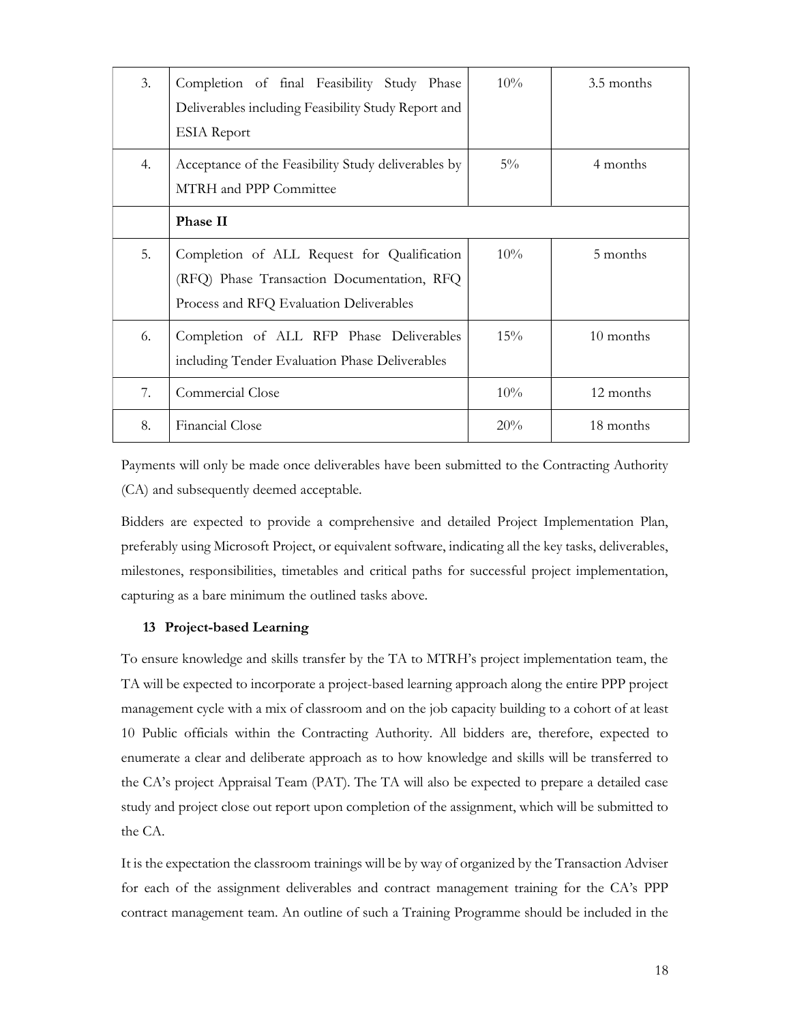| 3. | Completion of final Feasibility Study Phase<br>Deliverables including Feasibility Study Report and<br><b>ESIA</b> Report             | $10\%$ | 3.5 months |
|----|--------------------------------------------------------------------------------------------------------------------------------------|--------|------------|
| 4. | Acceptance of the Feasibility Study deliverables by<br>MTRH and PPP Committee                                                        | $5\%$  | 4 months   |
|    | Phase II                                                                                                                             |        |            |
| 5. | Completion of ALL Request for Qualification<br>(RFQ) Phase Transaction Documentation, RFQ<br>Process and RFQ Evaluation Deliverables | $10\%$ | 5 months   |
| 6. | Completion of ALL RFP Phase Deliverables<br>including Tender Evaluation Phase Deliverables                                           | $15\%$ | 10 months  |
| 7. | Commercial Close                                                                                                                     | 10%    | 12 months  |
| 8. | Financial Close                                                                                                                      | 20%    | 18 months  |

Payments will only be made once deliverables have been submitted to the Contracting Authority (CA) and subsequently deemed acceptable.

Bidders are expected to provide a comprehensive and detailed Project Implementation Plan, preferably using Microsoft Project, or equivalent software, indicating all the key tasks, deliverables, milestones, responsibilities, timetables and critical paths for successful project implementation, capturing as a bare minimum the outlined tasks above.

#### 13 Project-based Learning

To ensure knowledge and skills transfer by the TA to MTRH's project implementation team, the TA will be expected to incorporate a project-based learning approach along the entire PPP project management cycle with a mix of classroom and on the job capacity building to a cohort of at least 10 Public officials within the Contracting Authority. All bidders are, therefore, expected to enumerate a clear and deliberate approach as to how knowledge and skills will be transferred to the CA's project Appraisal Team (PAT). The TA will also be expected to prepare a detailed case study and project close out report upon completion of the assignment, which will be submitted to the CA.

It is the expectation the classroom trainings will be by way of organized by the Transaction Adviser for each of the assignment deliverables and contract management training for the CA's PPP contract management team. An outline of such a Training Programme should be included in the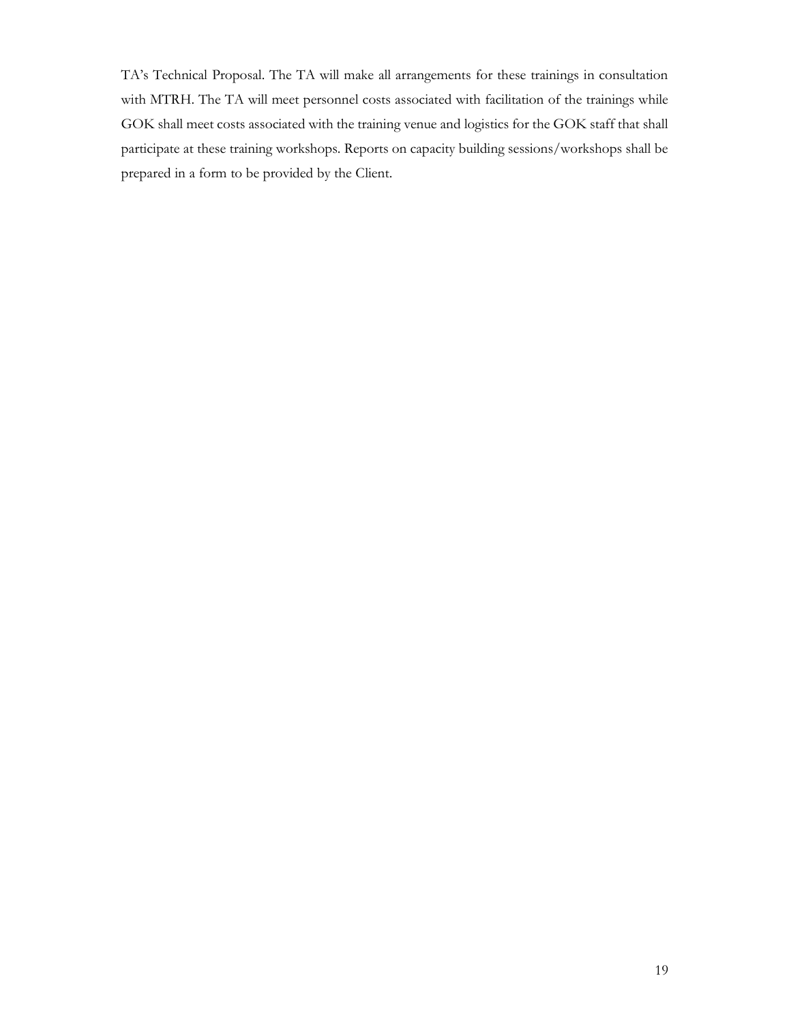TA's Technical Proposal. The TA will make all arrangements for these trainings in consultation with MTRH. The TA will meet personnel costs associated with facilitation of the trainings while GOK shall meet costs associated with the training venue and logistics for the GOK staff that shall participate at these training workshops. Reports on capacity building sessions/workshops shall be prepared in a form to be provided by the Client.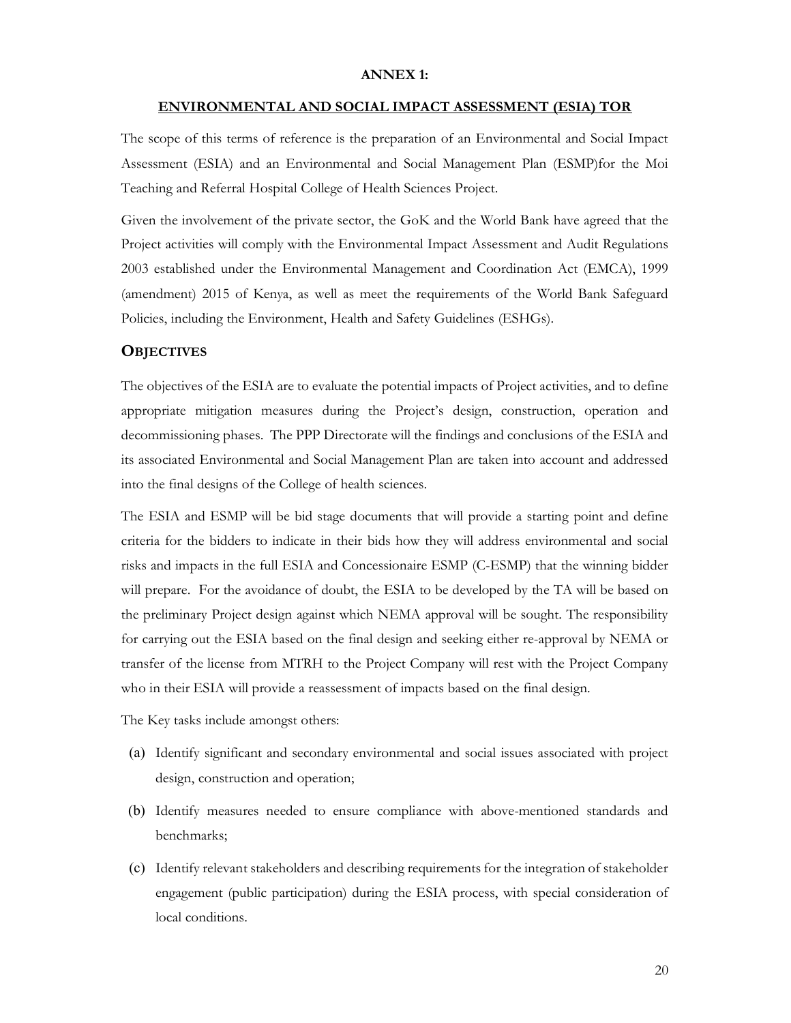#### ANNEX 1:

#### ENVIRONMENTAL AND SOCIAL IMPACT ASSESSMENT (ESIA) TOR

The scope of this terms of reference is the preparation of an Environmental and Social Impact Assessment (ESIA) and an Environmental and Social Management Plan (ESMP)for the Moi Teaching and Referral Hospital College of Health Sciences Project.

Given the involvement of the private sector, the GoK and the World Bank have agreed that the Project activities will comply with the Environmental Impact Assessment and Audit Regulations 2003 established under the Environmental Management and Coordination Act (EMCA), 1999 (amendment) 2015 of Kenya, as well as meet the requirements of the World Bank Safeguard Policies, including the Environment, Health and Safety Guidelines (ESHGs).

#### **OBJECTIVES**

The objectives of the ESIA are to evaluate the potential impacts of Project activities, and to define appropriate mitigation measures during the Project's design, construction, operation and decommissioning phases. The PPP Directorate will the findings and conclusions of the ESIA and its associated Environmental and Social Management Plan are taken into account and addressed into the final designs of the College of health sciences.

The ESIA and ESMP will be bid stage documents that will provide a starting point and define criteria for the bidders to indicate in their bids how they will address environmental and social risks and impacts in the full ESIA and Concessionaire ESMP (C-ESMP) that the winning bidder will prepare. For the avoidance of doubt, the ESIA to be developed by the TA will be based on the preliminary Project design against which NEMA approval will be sought. The responsibility for carrying out the ESIA based on the final design and seeking either re-approval by NEMA or transfer of the license from MTRH to the Project Company will rest with the Project Company who in their ESIA will provide a reassessment of impacts based on the final design.

The Key tasks include amongst others:

- (a) Identify significant and secondary environmental and social issues associated with project design, construction and operation;
- (b) Identify measures needed to ensure compliance with above-mentioned standards and benchmarks;
- (c) Identify relevant stakeholders and describing requirements for the integration of stakeholder engagement (public participation) during the ESIA process, with special consideration of local conditions.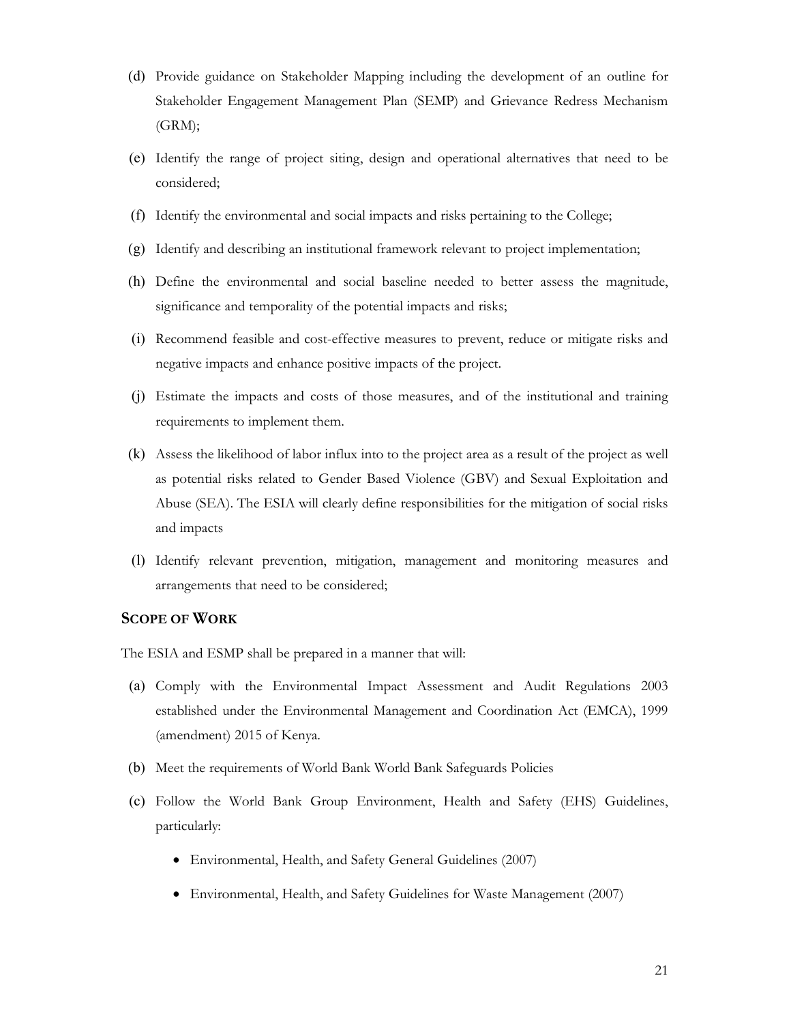- (d) Provide guidance on Stakeholder Mapping including the development of an outline for Stakeholder Engagement Management Plan (SEMP) and Grievance Redress Mechanism (GRM);
- (e) Identify the range of project siting, design and operational alternatives that need to be considered;
- (f) Identify the environmental and social impacts and risks pertaining to the College;
- (g) Identify and describing an institutional framework relevant to project implementation;
- (h) Define the environmental and social baseline needed to better assess the magnitude, significance and temporality of the potential impacts and risks;
- (i) Recommend feasible and cost-effective measures to prevent, reduce or mitigate risks and negative impacts and enhance positive impacts of the project.
- (j) Estimate the impacts and costs of those measures, and of the institutional and training requirements to implement them.
- (k) Assess the likelihood of labor influx into to the project area as a result of the project as well as potential risks related to Gender Based Violence (GBV) and Sexual Exploitation and Abuse (SEA). The ESIA will clearly define responsibilities for the mitigation of social risks and impacts
- (l) Identify relevant prevention, mitigation, management and monitoring measures and arrangements that need to be considered;

## SCOPE OF WORK

The ESIA and ESMP shall be prepared in a manner that will:

- (a) Comply with the Environmental Impact Assessment and Audit Regulations 2003 established under the Environmental Management and Coordination Act (EMCA), 1999 (amendment) 2015 of Kenya.
- (b) Meet the requirements of World Bank World Bank Safeguards Policies
- (c) Follow the World Bank Group Environment, Health and Safety (EHS) Guidelines, particularly:
	- Environmental, Health, and Safety General Guidelines (2007)
	- Environmental, Health, and Safety Guidelines for Waste Management (2007)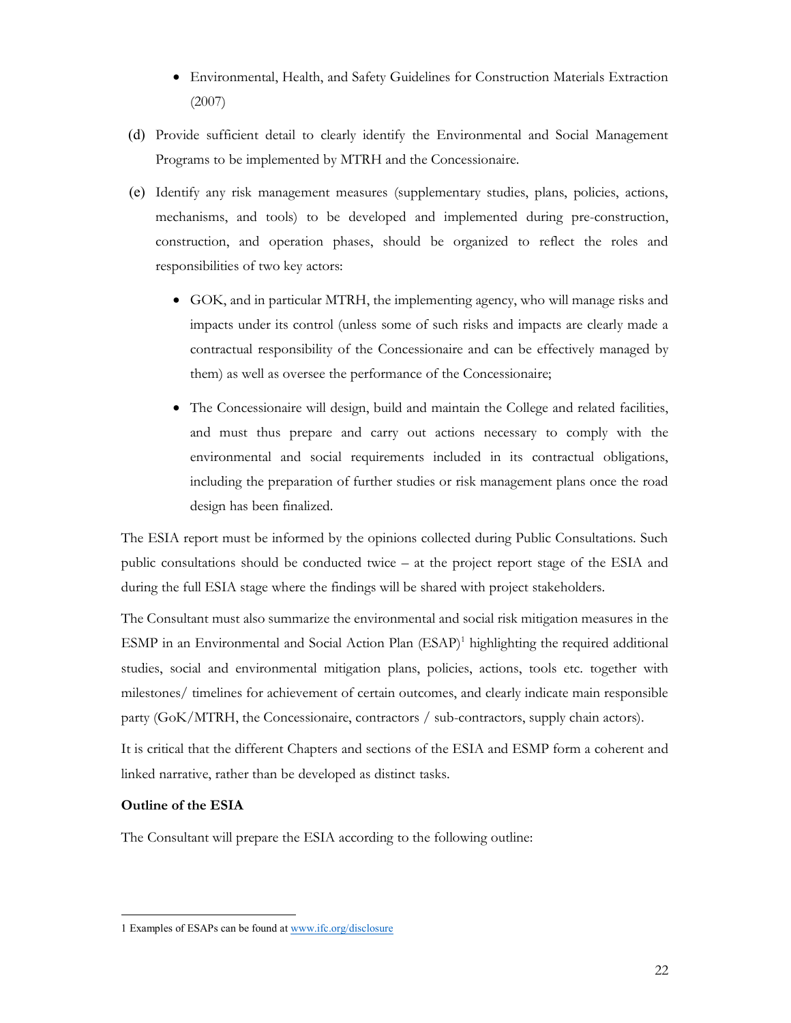- Environmental, Health, and Safety Guidelines for Construction Materials Extraction (2007)
- (d) Provide sufficient detail to clearly identify the Environmental and Social Management Programs to be implemented by MTRH and the Concessionaire.
- (e) Identify any risk management measures (supplementary studies, plans, policies, actions, mechanisms, and tools) to be developed and implemented during pre-construction, construction, and operation phases, should be organized to reflect the roles and responsibilities of two key actors:
	- GOK, and in particular MTRH, the implementing agency, who will manage risks and impacts under its control (unless some of such risks and impacts are clearly made a contractual responsibility of the Concessionaire and can be effectively managed by them) as well as oversee the performance of the Concessionaire;
	- The Concessionaire will design, build and maintain the College and related facilities, and must thus prepare and carry out actions necessary to comply with the environmental and social requirements included in its contractual obligations, including the preparation of further studies or risk management plans once the road design has been finalized.

The ESIA report must be informed by the opinions collected during Public Consultations. Such public consultations should be conducted twice – at the project report stage of the ESIA and during the full ESIA stage where the findings will be shared with project stakeholders.

The Consultant must also summarize the environmental and social risk mitigation measures in the ESMP in an Environmental and Social Action Plan (ESAP)<sup>1</sup> highlighting the required additional studies, social and environmental mitigation plans, policies, actions, tools etc. together with milestones/ timelines for achievement of certain outcomes, and clearly indicate main responsible party (GoK/MTRH, the Concessionaire, contractors / sub-contractors, supply chain actors).

It is critical that the different Chapters and sections of the ESIA and ESMP form a coherent and linked narrative, rather than be developed as distinct tasks.

# Outline of the ESIA

The Consultant will prepare the ESIA according to the following outline:

 $\overline{a}$ 1 Examples of ESAPs can be found at www.ifc.org/disclosure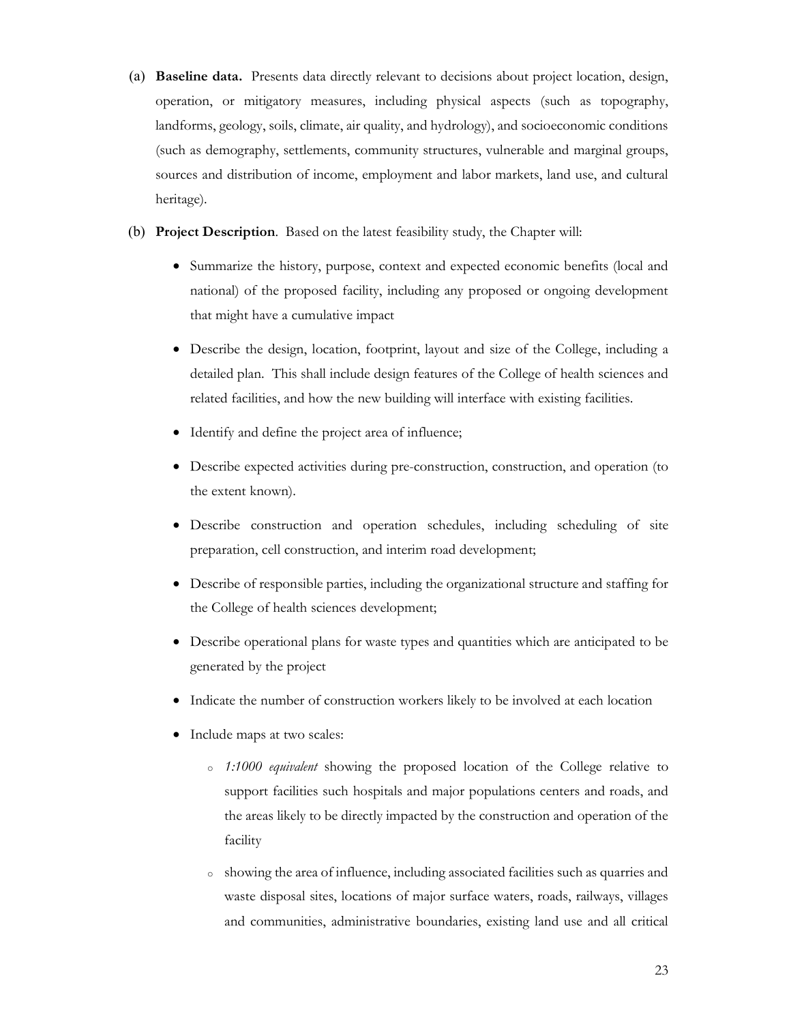- (a) Baseline data. Presents data directly relevant to decisions about project location, design, operation, or mitigatory measures, including physical aspects (such as topography, landforms, geology, soils, climate, air quality, and hydrology), and socioeconomic conditions (such as demography, settlements, community structures, vulnerable and marginal groups, sources and distribution of income, employment and labor markets, land use, and cultural heritage).
- (b) Project Description. Based on the latest feasibility study, the Chapter will:
	- Summarize the history, purpose, context and expected economic benefits (local and national) of the proposed facility, including any proposed or ongoing development that might have a cumulative impact
	- Describe the design, location, footprint, layout and size of the College, including a detailed plan. This shall include design features of the College of health sciences and related facilities, and how the new building will interface with existing facilities.
	- Identify and define the project area of influence;
	- Describe expected activities during pre-construction, construction, and operation (to the extent known).
	- Describe construction and operation schedules, including scheduling of site preparation, cell construction, and interim road development;
	- Describe of responsible parties, including the organizational structure and staffing for the College of health sciences development;
	- Describe operational plans for waste types and quantities which are anticipated to be generated by the project
	- Indicate the number of construction workers likely to be involved at each location
	- Include maps at two scales:
		- o 1:1000 equivalent showing the proposed location of the College relative to support facilities such hospitals and major populations centers and roads, and the areas likely to be directly impacted by the construction and operation of the facility
		- <sup>o</sup> showing the area of influence, including associated facilities such as quarries and waste disposal sites, locations of major surface waters, roads, railways, villages and communities, administrative boundaries, existing land use and all critical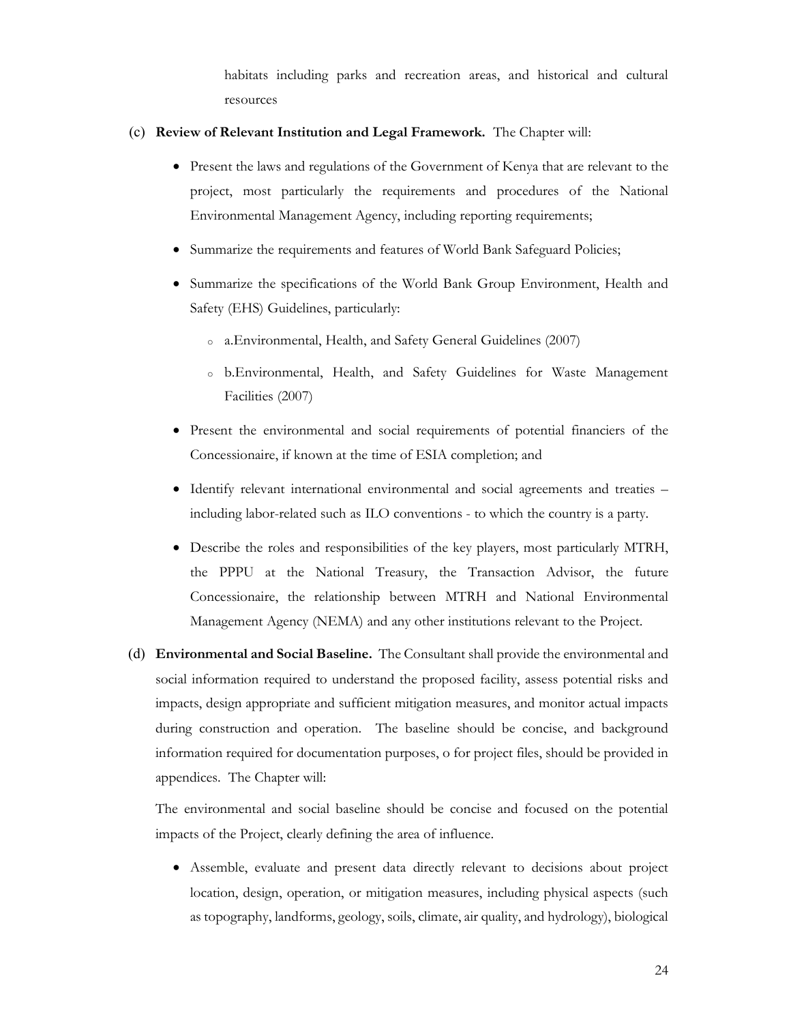habitats including parks and recreation areas, and historical and cultural resources

# (c) Review of Relevant Institution and Legal Framework. The Chapter will:

- Present the laws and regulations of the Government of Kenya that are relevant to the project, most particularly the requirements and procedures of the National Environmental Management Agency, including reporting requirements;
- Summarize the requirements and features of World Bank Safeguard Policies;
- Summarize the specifications of the World Bank Group Environment, Health and Safety (EHS) Guidelines, particularly:
	- <sup>o</sup> a.Environmental, Health, and Safety General Guidelines (2007)
	- <sup>o</sup> b.Environmental, Health, and Safety Guidelines for Waste Management Facilities (2007)
- Present the environmental and social requirements of potential financiers of the Concessionaire, if known at the time of ESIA completion; and
- Identify relevant international environmental and social agreements and treaties including labor-related such as ILO conventions - to which the country is a party.
- Describe the roles and responsibilities of the key players, most particularly MTRH, the PPPU at the National Treasury, the Transaction Advisor, the future Concessionaire, the relationship between MTRH and National Environmental Management Agency (NEMA) and any other institutions relevant to the Project.
- (d) Environmental and Social Baseline. The Consultant shall provide the environmental and social information required to understand the proposed facility, assess potential risks and impacts, design appropriate and sufficient mitigation measures, and monitor actual impacts during construction and operation. The baseline should be concise, and background information required for documentation purposes, o for project files, should be provided in appendices. The Chapter will:

The environmental and social baseline should be concise and focused on the potential impacts of the Project, clearly defining the area of influence.

 Assemble, evaluate and present data directly relevant to decisions about project location, design, operation, or mitigation measures, including physical aspects (such as topography, landforms, geology, soils, climate, air quality, and hydrology), biological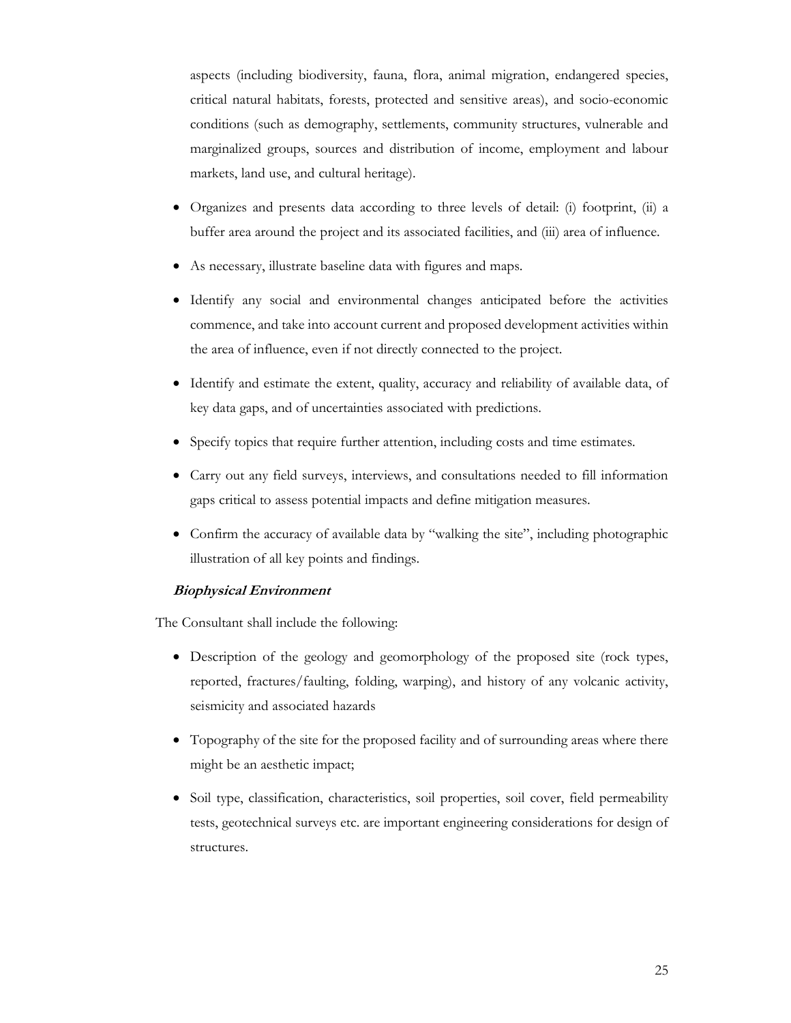aspects (including biodiversity, fauna, flora, animal migration, endangered species, critical natural habitats, forests, protected and sensitive areas), and socio-economic conditions (such as demography, settlements, community structures, vulnerable and marginalized groups, sources and distribution of income, employment and labour markets, land use, and cultural heritage).

- Organizes and presents data according to three levels of detail: (i) footprint, (ii) a buffer area around the project and its associated facilities, and (iii) area of influence.
- As necessary, illustrate baseline data with figures and maps.
- Identify any social and environmental changes anticipated before the activities commence, and take into account current and proposed development activities within the area of influence, even if not directly connected to the project.
- Identify and estimate the extent, quality, accuracy and reliability of available data, of key data gaps, and of uncertainties associated with predictions.
- Specify topics that require further attention, including costs and time estimates.
- Carry out any field surveys, interviews, and consultations needed to fill information gaps critical to assess potential impacts and define mitigation measures.
- Confirm the accuracy of available data by "walking the site", including photographic illustration of all key points and findings.

# Biophysical Environment

The Consultant shall include the following:

- Description of the geology and geomorphology of the proposed site (rock types, reported, fractures/faulting, folding, warping), and history of any volcanic activity, seismicity and associated hazards
- Topography of the site for the proposed facility and of surrounding areas where there might be an aesthetic impact;
- Soil type, classification, characteristics, soil properties, soil cover, field permeability tests, geotechnical surveys etc. are important engineering considerations for design of structures.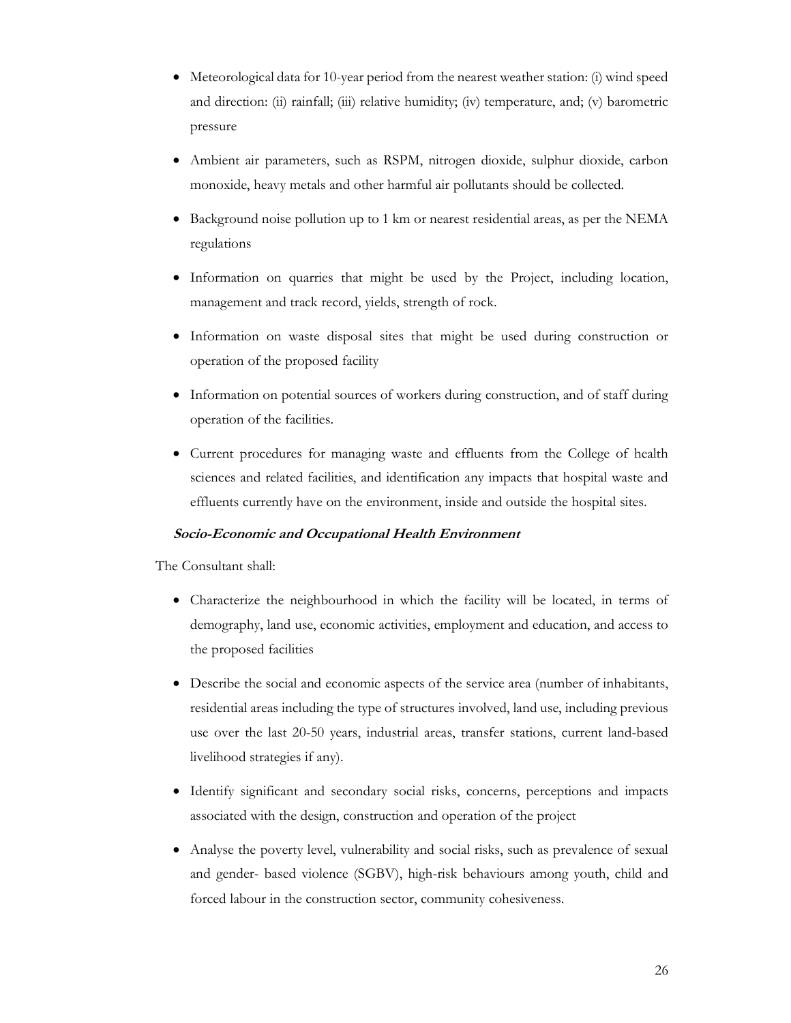- Meteorological data for 10-year period from the nearest weather station: (i) wind speed and direction: (ii) rainfall; (iii) relative humidity; (iv) temperature, and; (v) barometric pressure
- Ambient air parameters, such as RSPM, nitrogen dioxide, sulphur dioxide, carbon monoxide, heavy metals and other harmful air pollutants should be collected.
- Background noise pollution up to 1 km or nearest residential areas, as per the NEMA regulations
- Information on quarries that might be used by the Project, including location, management and track record, yields, strength of rock.
- Information on waste disposal sites that might be used during construction or operation of the proposed facility
- Information on potential sources of workers during construction, and of staff during operation of the facilities.
- Current procedures for managing waste and effluents from the College of health sciences and related facilities, and identification any impacts that hospital waste and effluents currently have on the environment, inside and outside the hospital sites.

# Socio-Economic and Occupational Health Environment

The Consultant shall:

- Characterize the neighbourhood in which the facility will be located, in terms of demography, land use, economic activities, employment and education, and access to the proposed facilities
- Describe the social and economic aspects of the service area (number of inhabitants, residential areas including the type of structures involved, land use, including previous use over the last 20-50 years, industrial areas, transfer stations, current land-based livelihood strategies if any).
- Identify significant and secondary social risks, concerns, perceptions and impacts associated with the design, construction and operation of the project
- Analyse the poverty level, vulnerability and social risks, such as prevalence of sexual and gender- based violence (SGBV), high-risk behaviours among youth, child and forced labour in the construction sector, community cohesiveness.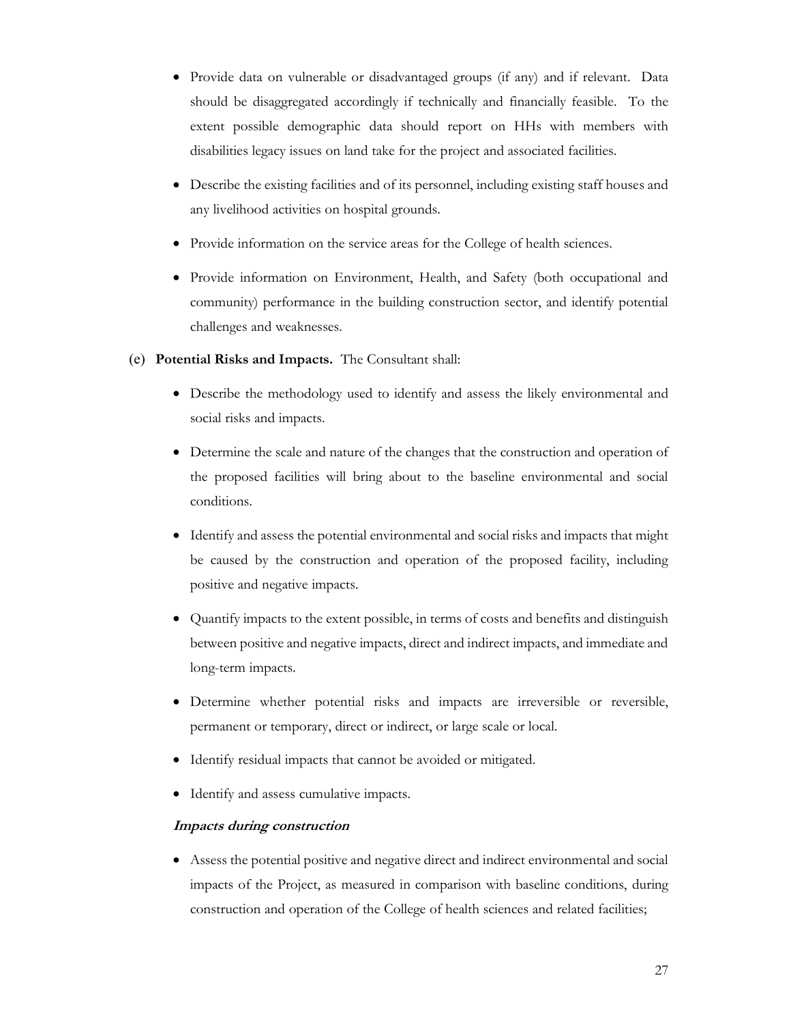- Provide data on vulnerable or disadvantaged groups (if any) and if relevant. Data should be disaggregated accordingly if technically and financially feasible. To the extent possible demographic data should report on HHs with members with disabilities legacy issues on land take for the project and associated facilities.
- Describe the existing facilities and of its personnel, including existing staff houses and any livelihood activities on hospital grounds.
- Provide information on the service areas for the College of health sciences.
- Provide information on Environment, Health, and Safety (both occupational and community) performance in the building construction sector, and identify potential challenges and weaknesses.
- (e) Potential Risks and Impacts. The Consultant shall:
	- Describe the methodology used to identify and assess the likely environmental and social risks and impacts.
	- Determine the scale and nature of the changes that the construction and operation of the proposed facilities will bring about to the baseline environmental and social conditions.
	- Identify and assess the potential environmental and social risks and impacts that might be caused by the construction and operation of the proposed facility, including positive and negative impacts.
	- Quantify impacts to the extent possible, in terms of costs and benefits and distinguish between positive and negative impacts, direct and indirect impacts, and immediate and long-term impacts.
	- Determine whether potential risks and impacts are irreversible or reversible, permanent or temporary, direct or indirect, or large scale or local.
	- Identify residual impacts that cannot be avoided or mitigated.
	- Identify and assess cumulative impacts.

# Impacts during construction

 Assess the potential positive and negative direct and indirect environmental and social impacts of the Project, as measured in comparison with baseline conditions, during construction and operation of the College of health sciences and related facilities;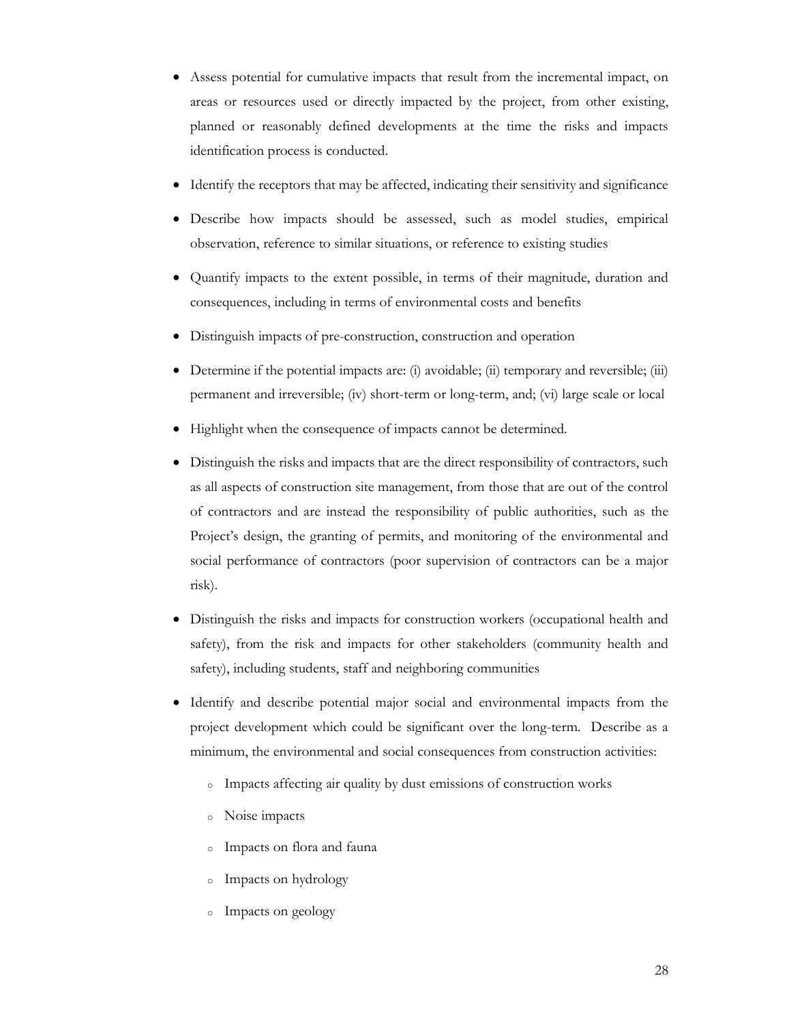- Assess potential for cumulative impacts that result from the incremental impact, on areas or resources used or directly impacted by the project, from other existing, planned or reasonably defined developments at the time the risks and impacts identification process is conducted.
- Identify the receptors that may be affected, indicating their sensitivity and significance
- Describe how impacts should be assessed, such as model studies, empirical observation, reference to similar situations, or reference to existing studies
- Quantify impacts to the extent possible, in terms of their magnitude, duration and consequences, including in terms of environmental costs and benefits
- Distinguish impacts of pre-construction, construction and operation
- Determine if the potential impacts are: (i) avoidable; (ii) temporary and reversible; (iii) permanent and irreversible; (iv) short-term or long-term, and; (vi) large scale or local
- Highlight when the consequence of impacts cannot be determined.
- Distinguish the risks and impacts that are the direct responsibility of contractors, such as all aspects of construction site management, from those that are out of the control of contractors and are instead the responsibility of public authorities, such as the Project's design, the granting of permits, and monitoring of the environmental and social performance of contractors (poor supervision of contractors can be a major risk).
- Distinguish the risks and impacts for construction workers (occupational health and safety), from the risk and impacts for other stakeholders (community health and safety), including students, staff and neighboring communities
- Identify and describe potential major social and environmental impacts from the project development which could be significant over the long-term. Describe as a minimum, the environmental and social consequences from construction activities:
	- <sup>o</sup> Impacts affecting air quality by dust emissions of construction works
	- <sup>o</sup> Noise impacts
	- <sup>o</sup> Impacts on flora and fauna
	- <sup>o</sup> Impacts on hydrology
	- <sup>o</sup> Impacts on geology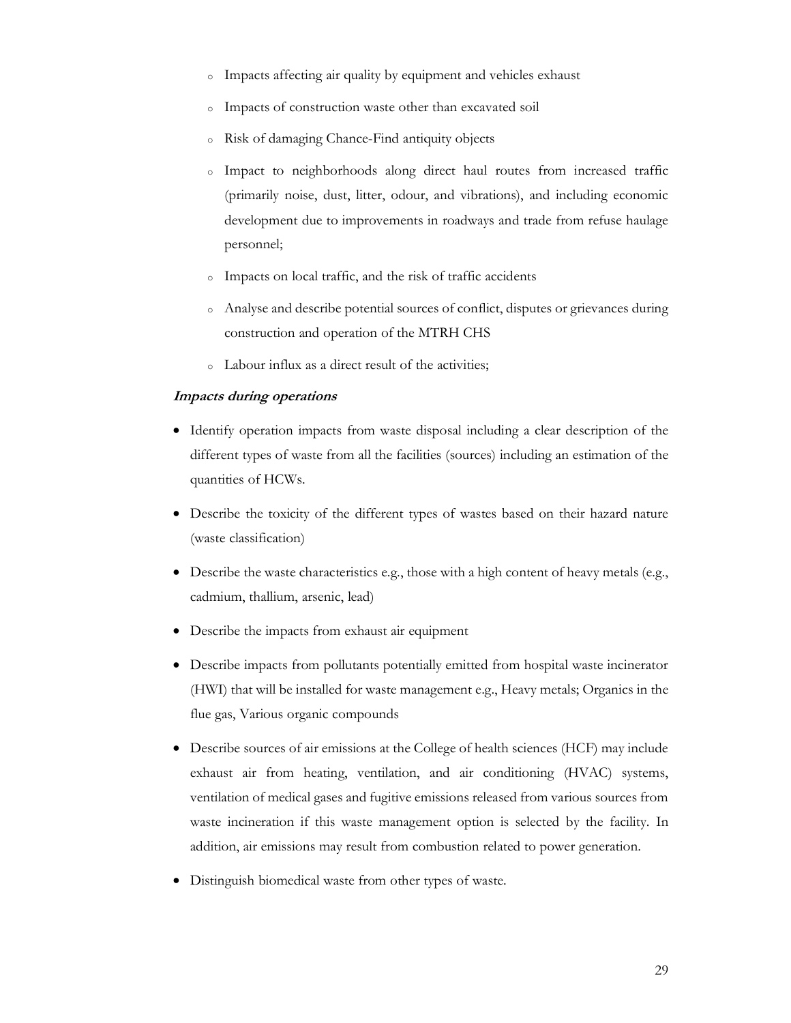- <sup>o</sup> Impacts affecting air quality by equipment and vehicles exhaust
- <sup>o</sup> Impacts of construction waste other than excavated soil
- <sup>o</sup> Risk of damaging Chance-Find antiquity objects
- <sup>o</sup> Impact to neighborhoods along direct haul routes from increased traffic (primarily noise, dust, litter, odour, and vibrations), and including economic development due to improvements in roadways and trade from refuse haulage personnel;
- <sup>o</sup> Impacts on local traffic, and the risk of traffic accidents
- <sup>o</sup> Analyse and describe potential sources of conflict, disputes or grievances during construction and operation of the MTRH CHS
- <sup>o</sup> Labour influx as a direct result of the activities;

## Impacts during operations

- Identify operation impacts from waste disposal including a clear description of the different types of waste from all the facilities (sources) including an estimation of the quantities of HCWs.
- Describe the toxicity of the different types of wastes based on their hazard nature (waste classification)
- Describe the waste characteristics e.g., those with a high content of heavy metals (e.g., cadmium, thallium, arsenic, lead)
- Describe the impacts from exhaust air equipment
- Describe impacts from pollutants potentially emitted from hospital waste incinerator (HWI) that will be installed for waste management e.g., Heavy metals; Organics in the flue gas, Various organic compounds
- Describe sources of air emissions at the College of health sciences (HCF) may include exhaust air from heating, ventilation, and air conditioning (HVAC) systems, ventilation of medical gases and fugitive emissions released from various sources from waste incineration if this waste management option is selected by the facility. In addition, air emissions may result from combustion related to power generation.
- Distinguish biomedical waste from other types of waste.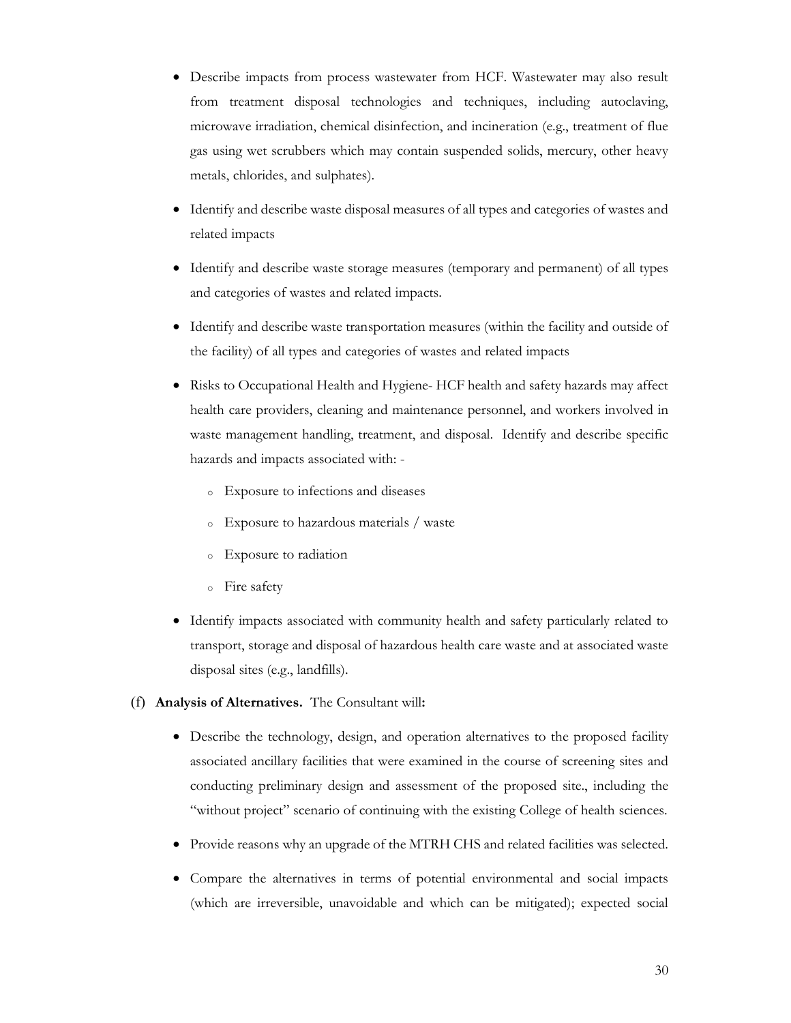- Describe impacts from process wastewater from HCF. Wastewater may also result from treatment disposal technologies and techniques, including autoclaving, microwave irradiation, chemical disinfection, and incineration (e.g., treatment of flue gas using wet scrubbers which may contain suspended solids, mercury, other heavy metals, chlorides, and sulphates).
- Identify and describe waste disposal measures of all types and categories of wastes and related impacts
- Identify and describe waste storage measures (temporary and permanent) of all types and categories of wastes and related impacts.
- Identify and describe waste transportation measures (within the facility and outside of the facility) of all types and categories of wastes and related impacts
- Risks to Occupational Health and Hygiene- HCF health and safety hazards may affect health care providers, cleaning and maintenance personnel, and workers involved in waste management handling, treatment, and disposal. Identify and describe specific hazards and impacts associated with:
	- <sup>o</sup> Exposure to infections and diseases
	- <sup>o</sup> Exposure to hazardous materials / waste
	- <sup>o</sup> Exposure to radiation
	- <sup>o</sup> Fire safety
- Identify impacts associated with community health and safety particularly related to transport, storage and disposal of hazardous health care waste and at associated waste disposal sites (e.g., landfills).
- (f) Analysis of Alternatives. The Consultant will:
	- Describe the technology, design, and operation alternatives to the proposed facility associated ancillary facilities that were examined in the course of screening sites and conducting preliminary design and assessment of the proposed site., including the "without project" scenario of continuing with the existing College of health sciences.
	- Provide reasons why an upgrade of the MTRH CHS and related facilities was selected.
	- Compare the alternatives in terms of potential environmental and social impacts (which are irreversible, unavoidable and which can be mitigated); expected social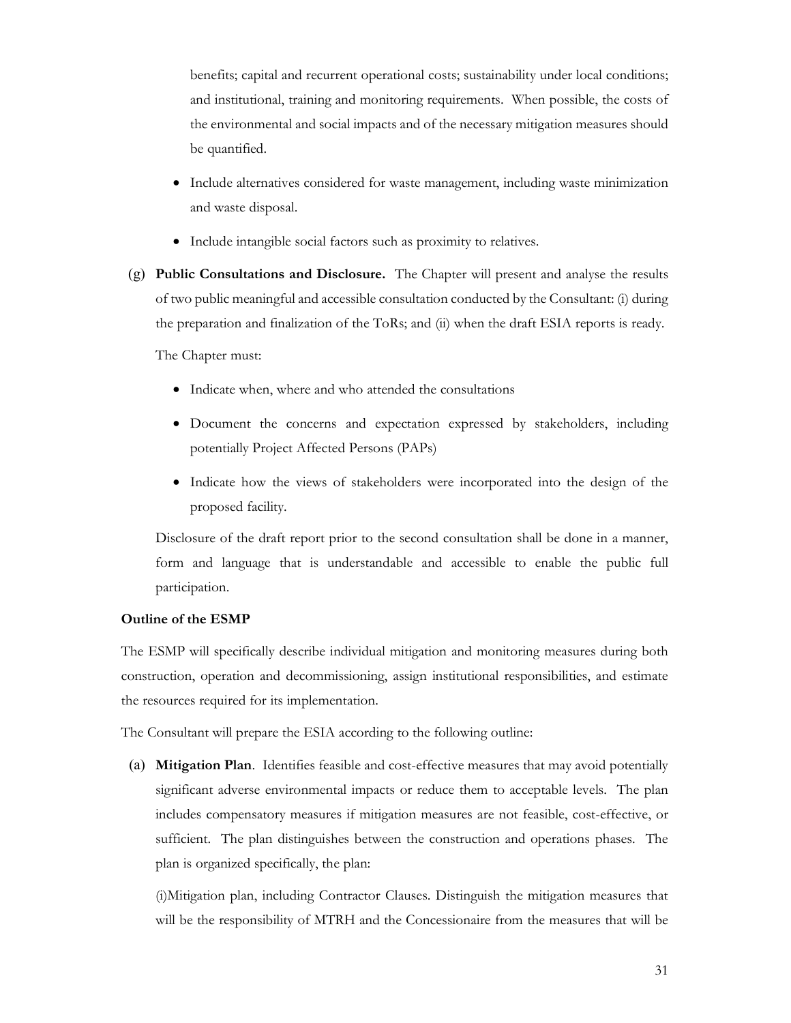benefits; capital and recurrent operational costs; sustainability under local conditions; and institutional, training and monitoring requirements. When possible, the costs of the environmental and social impacts and of the necessary mitigation measures should be quantified.

- Include alternatives considered for waste management, including waste minimization and waste disposal.
- Include intangible social factors such as proximity to relatives.
- (g) Public Consultations and Disclosure. The Chapter will present and analyse the results of two public meaningful and accessible consultation conducted by the Consultant: (i) during the preparation and finalization of the ToRs; and (ii) when the draft ESIA reports is ready.

The Chapter must:

- Indicate when, where and who attended the consultations
- Document the concerns and expectation expressed by stakeholders, including potentially Project Affected Persons (PAPs)
- Indicate how the views of stakeholders were incorporated into the design of the proposed facility.

Disclosure of the draft report prior to the second consultation shall be done in a manner, form and language that is understandable and accessible to enable the public full participation.

#### Outline of the ESMP

The ESMP will specifically describe individual mitigation and monitoring measures during both construction, operation and decommissioning, assign institutional responsibilities, and estimate the resources required for its implementation.

The Consultant will prepare the ESIA according to the following outline:

(a) Mitigation Plan. Identifies feasible and cost-effective measures that may avoid potentially significant adverse environmental impacts or reduce them to acceptable levels. The plan includes compensatory measures if mitigation measures are not feasible, cost-effective, or sufficient. The plan distinguishes between the construction and operations phases. The plan is organized specifically, the plan:

(i)Mitigation plan, including Contractor Clauses. Distinguish the mitigation measures that will be the responsibility of MTRH and the Concessionaire from the measures that will be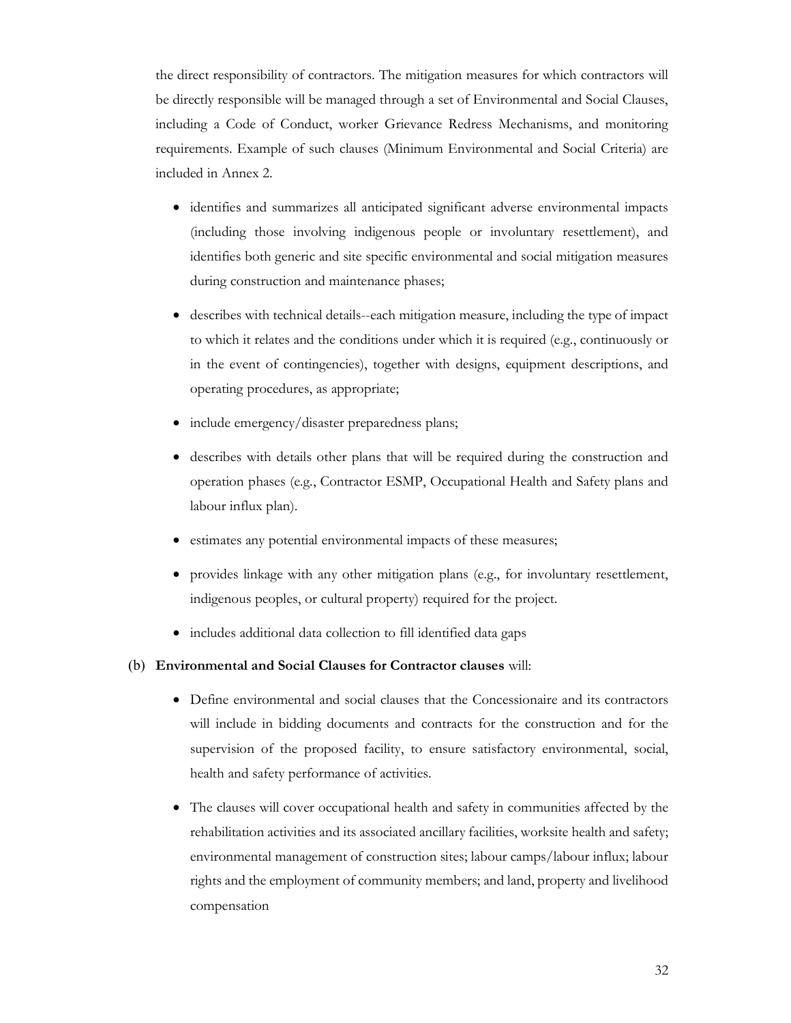the direct responsibility of contractors. The mitigation measures for which contractors will be directly responsible will be managed through a set of Environmental and Social Clauses, including a Code of Conduct, worker Grievance Redress Mechanisms, and monitoring requirements. Example of such clauses (Minimum Environmental and Social Criteria) are included in Annex 2.

- identifies and summarizes all anticipated significant adverse environmental impacts (including those involving indigenous people or involuntary resettlement), and identifies both generic and site specific environmental and social mitigation measures during construction and maintenance phases;
- describes with technical details--each mitigation measure, including the type of impact to which it relates and the conditions under which it is required (e.g., continuously or in the event of contingencies), together with designs, equipment descriptions, and operating procedures, as appropriate;
- include emergency/disaster preparedness plans;
- describes with details other plans that will be required during the construction and operation phases (e.g., Contractor ESMP, Occupational Health and Safety plans and labour influx plan).
- estimates any potential environmental impacts of these measures;
- provides linkage with any other mitigation plans (e.g., for involuntary resettlement, indigenous peoples, or cultural property) required for the project.
- includes additional data collection to fill identified data gaps

#### (b) Environmental and Social Clauses for Contractor clauses will:

- Define environmental and social clauses that the Concessionaire and its contractors will include in bidding documents and contracts for the construction and for the supervision of the proposed facility, to ensure satisfactory environmental, social, health and safety performance of activities.
- The clauses will cover occupational health and safety in communities affected by the rehabilitation activities and its associated ancillary facilities, worksite health and safety; environmental management of construction sites; labour camps/labour influx; labour rights and the employment of community members; and land, property and livelihood compensation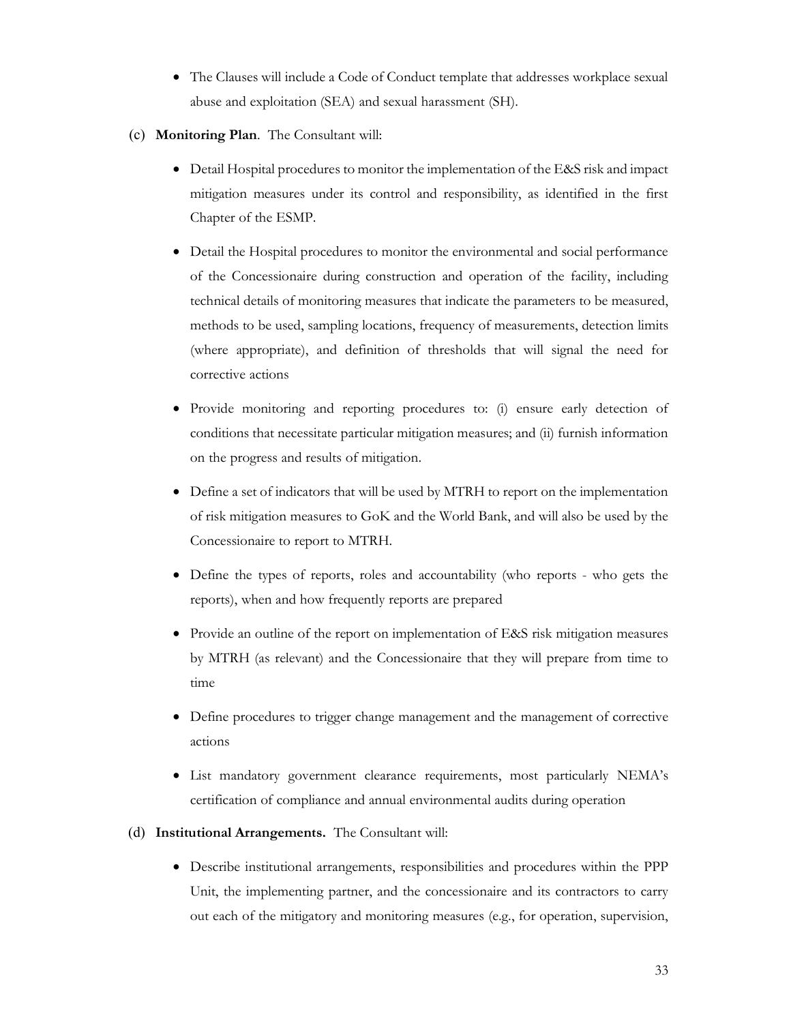- The Clauses will include a Code of Conduct template that addresses workplace sexual abuse and exploitation (SEA) and sexual harassment (SH).
- (c) Monitoring Plan. The Consultant will:
	- Detail Hospital procedures to monitor the implementation of the E&S risk and impact mitigation measures under its control and responsibility, as identified in the first Chapter of the ESMP.
	- Detail the Hospital procedures to monitor the environmental and social performance of the Concessionaire during construction and operation of the facility, including technical details of monitoring measures that indicate the parameters to be measured, methods to be used, sampling locations, frequency of measurements, detection limits (where appropriate), and definition of thresholds that will signal the need for corrective actions
	- Provide monitoring and reporting procedures to: (i) ensure early detection of conditions that necessitate particular mitigation measures; and (ii) furnish information on the progress and results of mitigation.
	- Define a set of indicators that will be used by MTRH to report on the implementation of risk mitigation measures to GoK and the World Bank, and will also be used by the Concessionaire to report to MTRH.
	- Define the types of reports, roles and accountability (who reports who gets the reports), when and how frequently reports are prepared
	- Provide an outline of the report on implementation of E&S risk mitigation measures by MTRH (as relevant) and the Concessionaire that they will prepare from time to time
	- Define procedures to trigger change management and the management of corrective actions
	- List mandatory government clearance requirements, most particularly NEMA's certification of compliance and annual environmental audits during operation
- (d) Institutional Arrangements. The Consultant will:
	- Describe institutional arrangements, responsibilities and procedures within the PPP Unit, the implementing partner, and the concessionaire and its contractors to carry out each of the mitigatory and monitoring measures (e.g., for operation, supervision,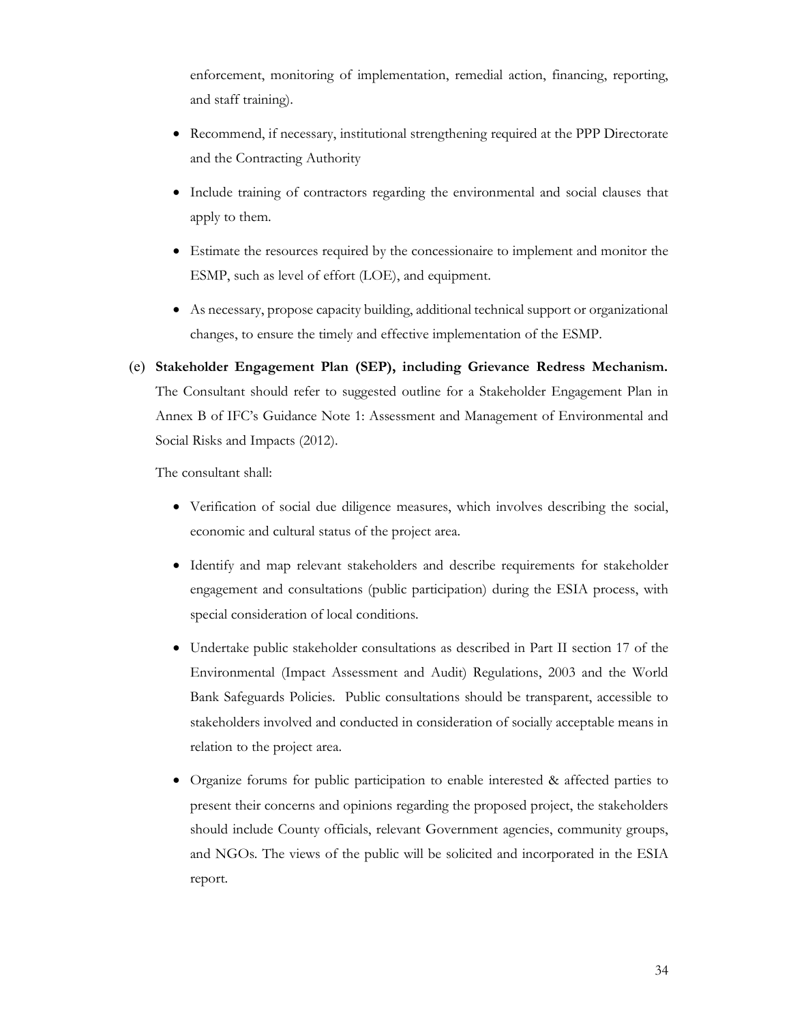enforcement, monitoring of implementation, remedial action, financing, reporting, and staff training).

- Recommend, if necessary, institutional strengthening required at the PPP Directorate and the Contracting Authority
- Include training of contractors regarding the environmental and social clauses that apply to them.
- Estimate the resources required by the concessionaire to implement and monitor the ESMP, such as level of effort (LOE), and equipment.
- As necessary, propose capacity building, additional technical support or organizational changes, to ensure the timely and effective implementation of the ESMP.
- (e) Stakeholder Engagement Plan (SEP), including Grievance Redress Mechanism. The Consultant should refer to suggested outline for a Stakeholder Engagement Plan in Annex B of IFC's Guidance Note 1: Assessment and Management of Environmental and Social Risks and Impacts (2012).

The consultant shall:

- Verification of social due diligence measures, which involves describing the social, economic and cultural status of the project area.
- Identify and map relevant stakeholders and describe requirements for stakeholder engagement and consultations (public participation) during the ESIA process, with special consideration of local conditions.
- Undertake public stakeholder consultations as described in Part II section 17 of the Environmental (Impact Assessment and Audit) Regulations, 2003 and the World Bank Safeguards Policies. Public consultations should be transparent, accessible to stakeholders involved and conducted in consideration of socially acceptable means in relation to the project area.
- Organize forums for public participation to enable interested & affected parties to present their concerns and opinions regarding the proposed project, the stakeholders should include County officials, relevant Government agencies, community groups, and NGOs. The views of the public will be solicited and incorporated in the ESIA report.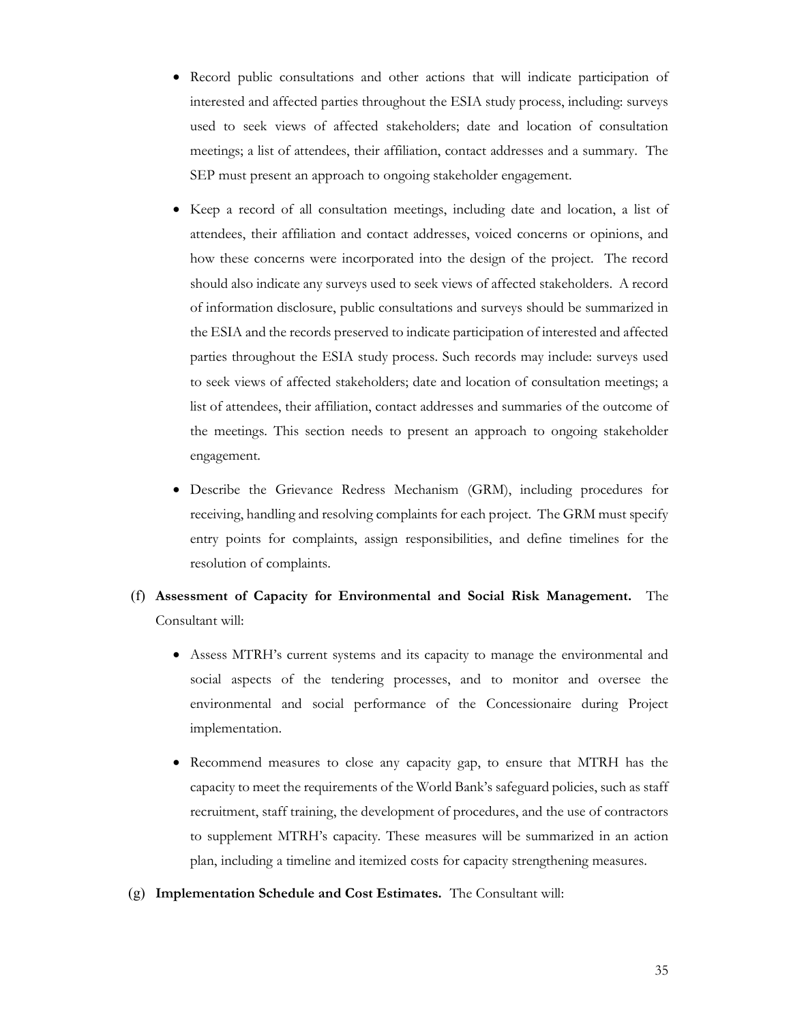- Record public consultations and other actions that will indicate participation of interested and affected parties throughout the ESIA study process, including: surveys used to seek views of affected stakeholders; date and location of consultation meetings; a list of attendees, their affiliation, contact addresses and a summary. The SEP must present an approach to ongoing stakeholder engagement.
- Keep a record of all consultation meetings, including date and location, a list of attendees, their affiliation and contact addresses, voiced concerns or opinions, and how these concerns were incorporated into the design of the project. The record should also indicate any surveys used to seek views of affected stakeholders. A record of information disclosure, public consultations and surveys should be summarized in the ESIA and the records preserved to indicate participation of interested and affected parties throughout the ESIA study process. Such records may include: surveys used to seek views of affected stakeholders; date and location of consultation meetings; a list of attendees, their affiliation, contact addresses and summaries of the outcome of the meetings. This section needs to present an approach to ongoing stakeholder engagement.
- Describe the Grievance Redress Mechanism (GRM), including procedures for receiving, handling and resolving complaints for each project. The GRM must specify entry points for complaints, assign responsibilities, and define timelines for the resolution of complaints.
- (f) Assessment of Capacity for Environmental and Social Risk Management. The Consultant will:
	- Assess MTRH's current systems and its capacity to manage the environmental and social aspects of the tendering processes, and to monitor and oversee the environmental and social performance of the Concessionaire during Project implementation.
	- Recommend measures to close any capacity gap, to ensure that MTRH has the capacity to meet the requirements of the World Bank's safeguard policies, such as staff recruitment, staff training, the development of procedures, and the use of contractors to supplement MTRH's capacity. These measures will be summarized in an action plan, including a timeline and itemized costs for capacity strengthening measures.
- (g) Implementation Schedule and Cost Estimates. The Consultant will: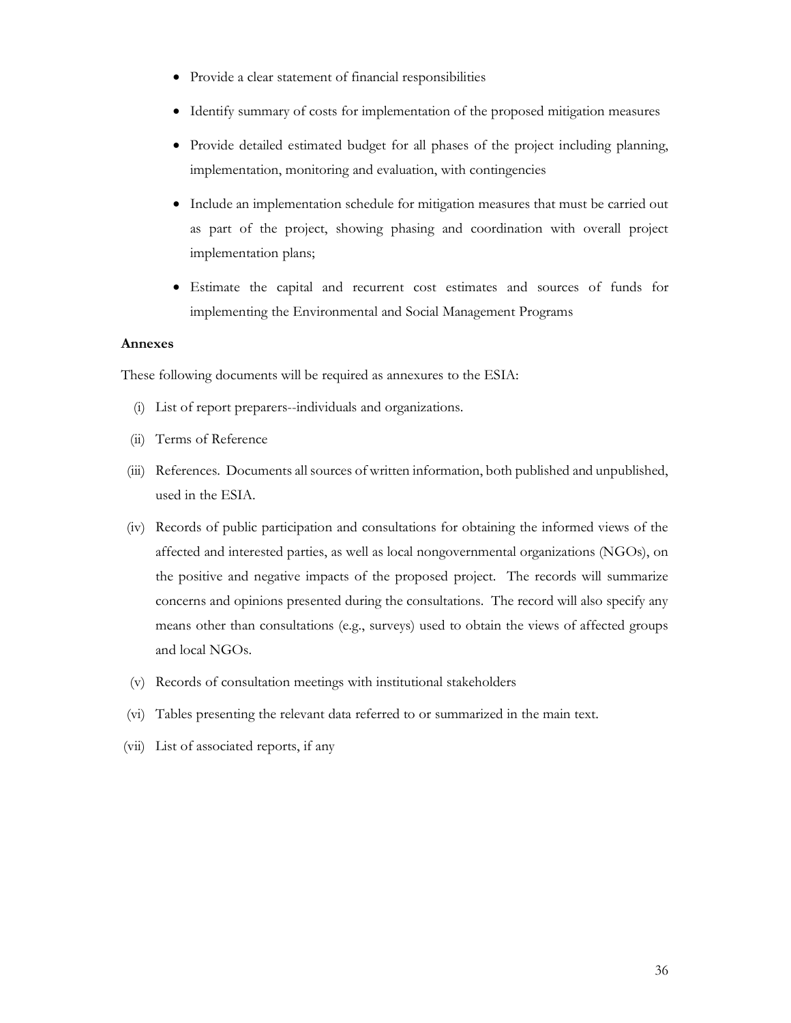- Provide a clear statement of financial responsibilities
- Identify summary of costs for implementation of the proposed mitigation measures
- Provide detailed estimated budget for all phases of the project including planning, implementation, monitoring and evaluation, with contingencies
- Include an implementation schedule for mitigation measures that must be carried out as part of the project, showing phasing and coordination with overall project implementation plans;
- Estimate the capital and recurrent cost estimates and sources of funds for implementing the Environmental and Social Management Programs

#### Annexes

These following documents will be required as annexures to the ESIA:

- (i) List of report preparers--individuals and organizations.
- (ii) Terms of Reference
- (iii) References. Documents all sources of written information, both published and unpublished, used in the ESIA.
- (iv) Records of public participation and consultations for obtaining the informed views of the affected and interested parties, as well as local nongovernmental organizations (NGOs), on the positive and negative impacts of the proposed project. The records will summarize concerns and opinions presented during the consultations. The record will also specify any means other than consultations (e.g., surveys) used to obtain the views of affected groups and local NGOs.
- (v) Records of consultation meetings with institutional stakeholders
- (vi) Tables presenting the relevant data referred to or summarized in the main text.
- (vii) List of associated reports, if any